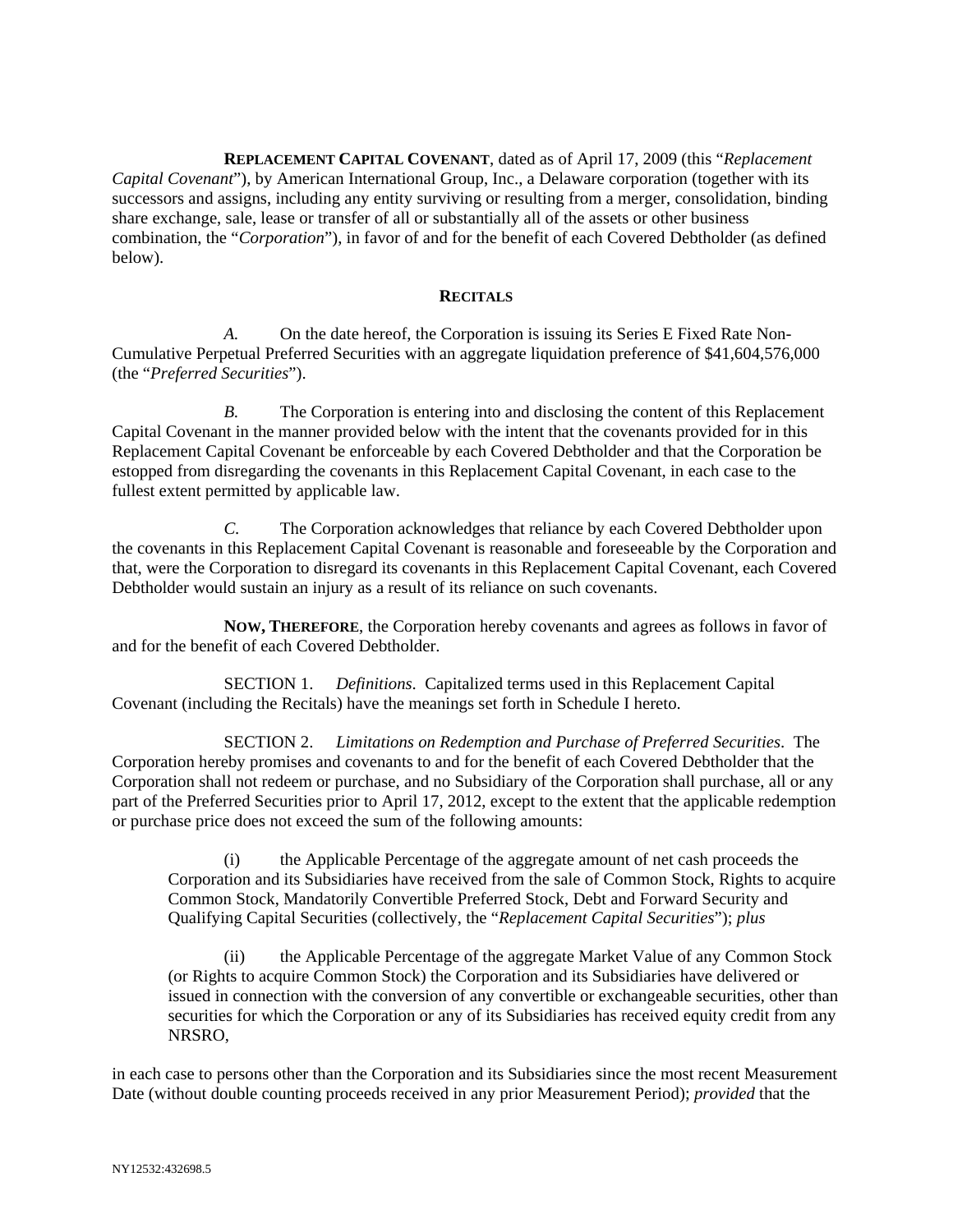**REPLACEMENT CAPITAL COVENANT**, dated as of April 17, 2009 (this "*Replacement Capital Covenant*"), by American International Group, Inc., a Delaware corporation (together with its successors and assigns, including any entity surviving or resulting from a merger, consolidation, binding share exchange, sale, lease or transfer of all or substantially all of the assets or other business combination, the "*Corporation*"), in favor of and for the benefit of each Covered Debtholder (as defined below).

## **RECITALS**

*A.* On the date hereof, the Corporation is issuing its Series E Fixed Rate Non-Cumulative Perpetual Preferred Securities with an aggregate liquidation preference of \$41,604,576,000 (the "*Preferred Securities*").

*B.* The Corporation is entering into and disclosing the content of this Replacement Capital Covenant in the manner provided below with the intent that the covenants provided for in this Replacement Capital Covenant be enforceable by each Covered Debtholder and that the Corporation be estopped from disregarding the covenants in this Replacement Capital Covenant, in each case to the fullest extent permitted by applicable law.

*C.* The Corporation acknowledges that reliance by each Covered Debtholder upon the covenants in this Replacement Capital Covenant is reasonable and foreseeable by the Corporation and that, were the Corporation to disregard its covenants in this Replacement Capital Covenant, each Covered Debtholder would sustain an injury as a result of its reliance on such covenants.

**NOW, THEREFORE**, the Corporation hereby covenants and agrees as follows in favor of and for the benefit of each Covered Debtholder.

SECTION 1. *Definitions*. Capitalized terms used in this Replacement Capital Covenant (including the Recitals) have the meanings set forth in Schedule I hereto.

SECTION 2. *Limitations on Redemption and Purchase of Preferred Securities*. The Corporation hereby promises and covenants to and for the benefit of each Covered Debtholder that the Corporation shall not redeem or purchase, and no Subsidiary of the Corporation shall purchase, all or any part of the Preferred Securities prior to April 17, 2012, except to the extent that the applicable redemption or purchase price does not exceed the sum of the following amounts:

(i) the Applicable Percentage of the aggregate amount of net cash proceeds the Corporation and its Subsidiaries have received from the sale of Common Stock, Rights to acquire Common Stock, Mandatorily Convertible Preferred Stock, Debt and Forward Security and Qualifying Capital Securities (collectively, the "*Replacement Capital Securities*"); *plus*

(ii) the Applicable Percentage of the aggregate Market Value of any Common Stock (or Rights to acquire Common Stock) the Corporation and its Subsidiaries have delivered or issued in connection with the conversion of any convertible or exchangeable securities, other than securities for which the Corporation or any of its Subsidiaries has received equity credit from any NRSRO,

in each case to persons other than the Corporation and its Subsidiaries since the most recent Measurement Date (without double counting proceeds received in any prior Measurement Period); *provided* that the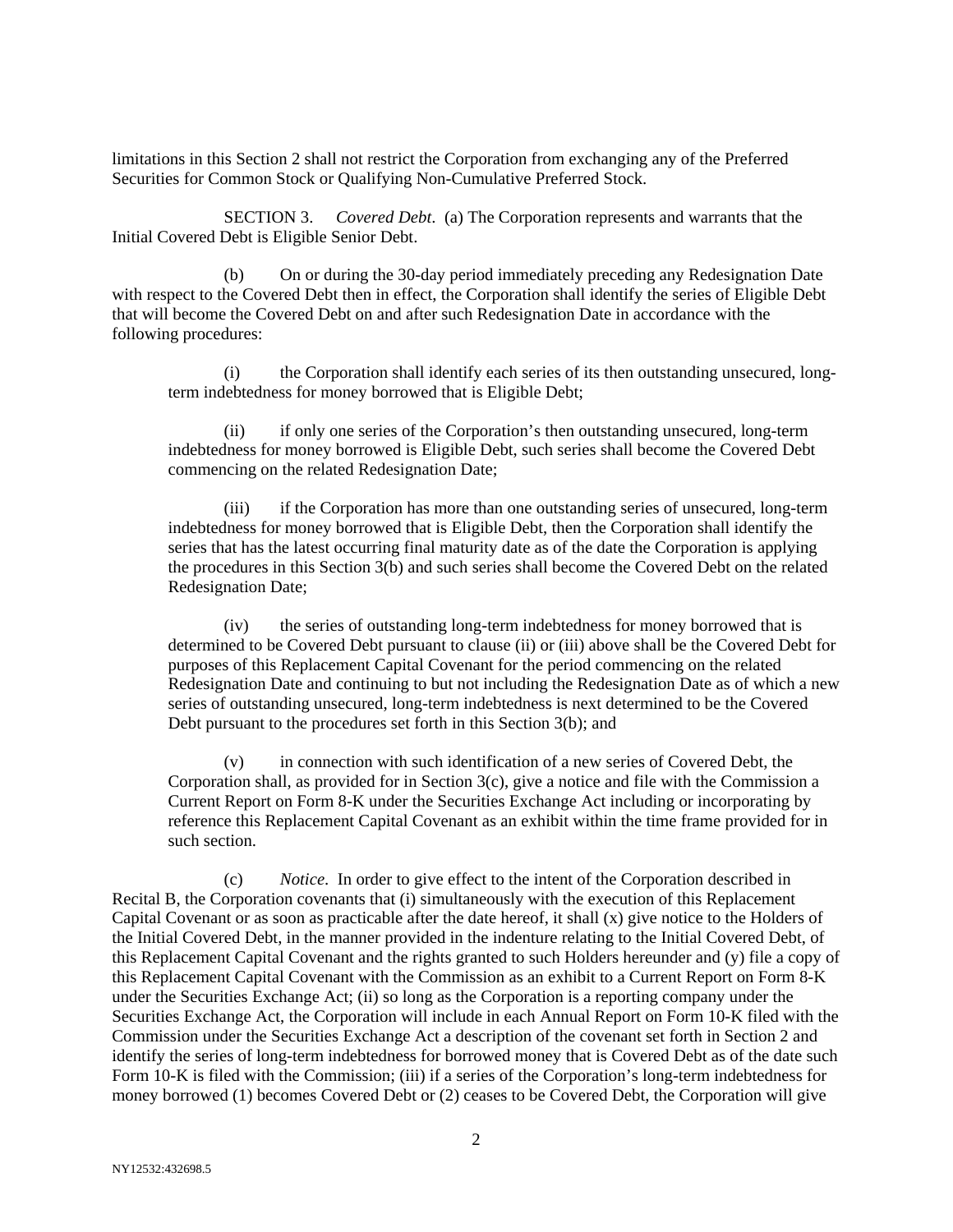limitations in this Section 2 shall not restrict the Corporation from exchanging any of the Preferred Securities for Common Stock or Qualifying Non-Cumulative Preferred Stock.

SECTION 3. *Covered Debt*. (a) The Corporation represents and warrants that the Initial Covered Debt is Eligible Senior Debt.

(b) On or during the 30-day period immediately preceding any Redesignation Date with respect to the Covered Debt then in effect, the Corporation shall identify the series of Eligible Debt that will become the Covered Debt on and after such Redesignation Date in accordance with the following procedures:

(i) the Corporation shall identify each series of its then outstanding unsecured, longterm indebtedness for money borrowed that is Eligible Debt;

(ii) if only one series of the Corporation's then outstanding unsecured, long-term indebtedness for money borrowed is Eligible Debt, such series shall become the Covered Debt commencing on the related Redesignation Date;

(iii) if the Corporation has more than one outstanding series of unsecured, long-term indebtedness for money borrowed that is Eligible Debt, then the Corporation shall identify the series that has the latest occurring final maturity date as of the date the Corporation is applying the procedures in this Section 3(b) and such series shall become the Covered Debt on the related Redesignation Date;

(iv) the series of outstanding long-term indebtedness for money borrowed that is determined to be Covered Debt pursuant to clause (ii) or (iii) above shall be the Covered Debt for purposes of this Replacement Capital Covenant for the period commencing on the related Redesignation Date and continuing to but not including the Redesignation Date as of which a new series of outstanding unsecured, long-term indebtedness is next determined to be the Covered Debt pursuant to the procedures set forth in this Section 3(b); and

(v) in connection with such identification of a new series of Covered Debt, the Corporation shall, as provided for in Section 3(c), give a notice and file with the Commission a Current Report on Form 8-K under the Securities Exchange Act including or incorporating by reference this Replacement Capital Covenant as an exhibit within the time frame provided for in such section.

(c) *Notice*. In order to give effect to the intent of the Corporation described in Recital B, the Corporation covenants that (i) simultaneously with the execution of this Replacement Capital Covenant or as soon as practicable after the date hereof, it shall (x) give notice to the Holders of the Initial Covered Debt, in the manner provided in the indenture relating to the Initial Covered Debt, of this Replacement Capital Covenant and the rights granted to such Holders hereunder and (y) file a copy of this Replacement Capital Covenant with the Commission as an exhibit to a Current Report on Form 8-K under the Securities Exchange Act; (ii) so long as the Corporation is a reporting company under the Securities Exchange Act, the Corporation will include in each Annual Report on Form 10-K filed with the Commission under the Securities Exchange Act a description of the covenant set forth in Section 2 and identify the series of long-term indebtedness for borrowed money that is Covered Debt as of the date such Form 10-K is filed with the Commission; (iii) if a series of the Corporation's long-term indebtedness for money borrowed (1) becomes Covered Debt or (2) ceases to be Covered Debt, the Corporation will give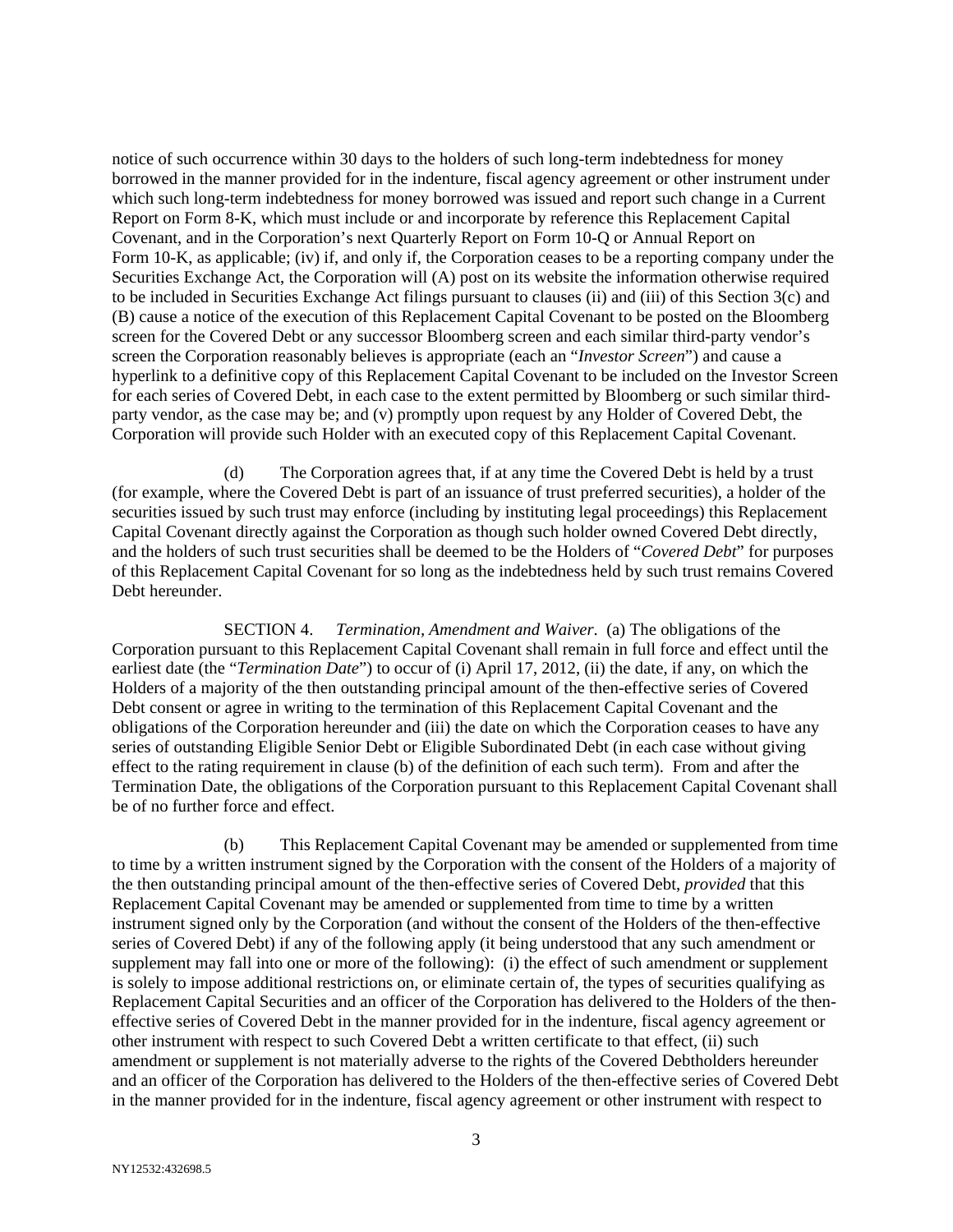notice of such occurrence within 30 days to the holders of such long-term indebtedness for money borrowed in the manner provided for in the indenture, fiscal agency agreement or other instrument under which such long-term indebtedness for money borrowed was issued and report such change in a Current Report on Form 8-K, which must include or and incorporate by reference this Replacement Capital Covenant, and in the Corporation's next Quarterly Report on Form 10-Q or Annual Report on Form 10-K, as applicable; (iv) if, and only if, the Corporation ceases to be a reporting company under the Securities Exchange Act, the Corporation will (A) post on its website the information otherwise required to be included in Securities Exchange Act filings pursuant to clauses (ii) and (iii) of this Section 3(c) and (B) cause a notice of the execution of this Replacement Capital Covenant to be posted on the Bloomberg screen for the Covered Debt or any successor Bloomberg screen and each similar third-party vendor's screen the Corporation reasonably believes is appropriate (each an "*Investor Screen*") and cause a hyperlink to a definitive copy of this Replacement Capital Covenant to be included on the Investor Screen for each series of Covered Debt, in each case to the extent permitted by Bloomberg or such similar thirdparty vendor, as the case may be; and (v) promptly upon request by any Holder of Covered Debt, the Corporation will provide such Holder with an executed copy of this Replacement Capital Covenant.

(d) The Corporation agrees that, if at any time the Covered Debt is held by a trust (for example, where the Covered Debt is part of an issuance of trust preferred securities), a holder of the securities issued by such trust may enforce (including by instituting legal proceedings) this Replacement Capital Covenant directly against the Corporation as though such holder owned Covered Debt directly, and the holders of such trust securities shall be deemed to be the Holders of "*Covered Debt*" for purposes of this Replacement Capital Covenant for so long as the indebtedness held by such trust remains Covered Debt hereunder.

SECTION 4. *Termination, Amendment and Waiver*. (a) The obligations of the Corporation pursuant to this Replacement Capital Covenant shall remain in full force and effect until the earliest date (the "*Termination Date*") to occur of (i) April 17, 2012, (ii) the date, if any, on which the Holders of a majority of the then outstanding principal amount of the then-effective series of Covered Debt consent or agree in writing to the termination of this Replacement Capital Covenant and the obligations of the Corporation hereunder and (iii) the date on which the Corporation ceases to have any series of outstanding Eligible Senior Debt or Eligible Subordinated Debt (in each case without giving effect to the rating requirement in clause (b) of the definition of each such term). From and after the Termination Date, the obligations of the Corporation pursuant to this Replacement Capital Covenant shall be of no further force and effect.

(b) This Replacement Capital Covenant may be amended or supplemented from time to time by a written instrument signed by the Corporation with the consent of the Holders of a majority of the then outstanding principal amount of the then-effective series of Covered Debt, *provided* that this Replacement Capital Covenant may be amended or supplemented from time to time by a written instrument signed only by the Corporation (and without the consent of the Holders of the then-effective series of Covered Debt) if any of the following apply (it being understood that any such amendment or supplement may fall into one or more of the following): (i) the effect of such amendment or supplement is solely to impose additional restrictions on, or eliminate certain of, the types of securities qualifying as Replacement Capital Securities and an officer of the Corporation has delivered to the Holders of the theneffective series of Covered Debt in the manner provided for in the indenture, fiscal agency agreement or other instrument with respect to such Covered Debt a written certificate to that effect, (ii) such amendment or supplement is not materially adverse to the rights of the Covered Debtholders hereunder and an officer of the Corporation has delivered to the Holders of the then-effective series of Covered Debt in the manner provided for in the indenture, fiscal agency agreement or other instrument with respect to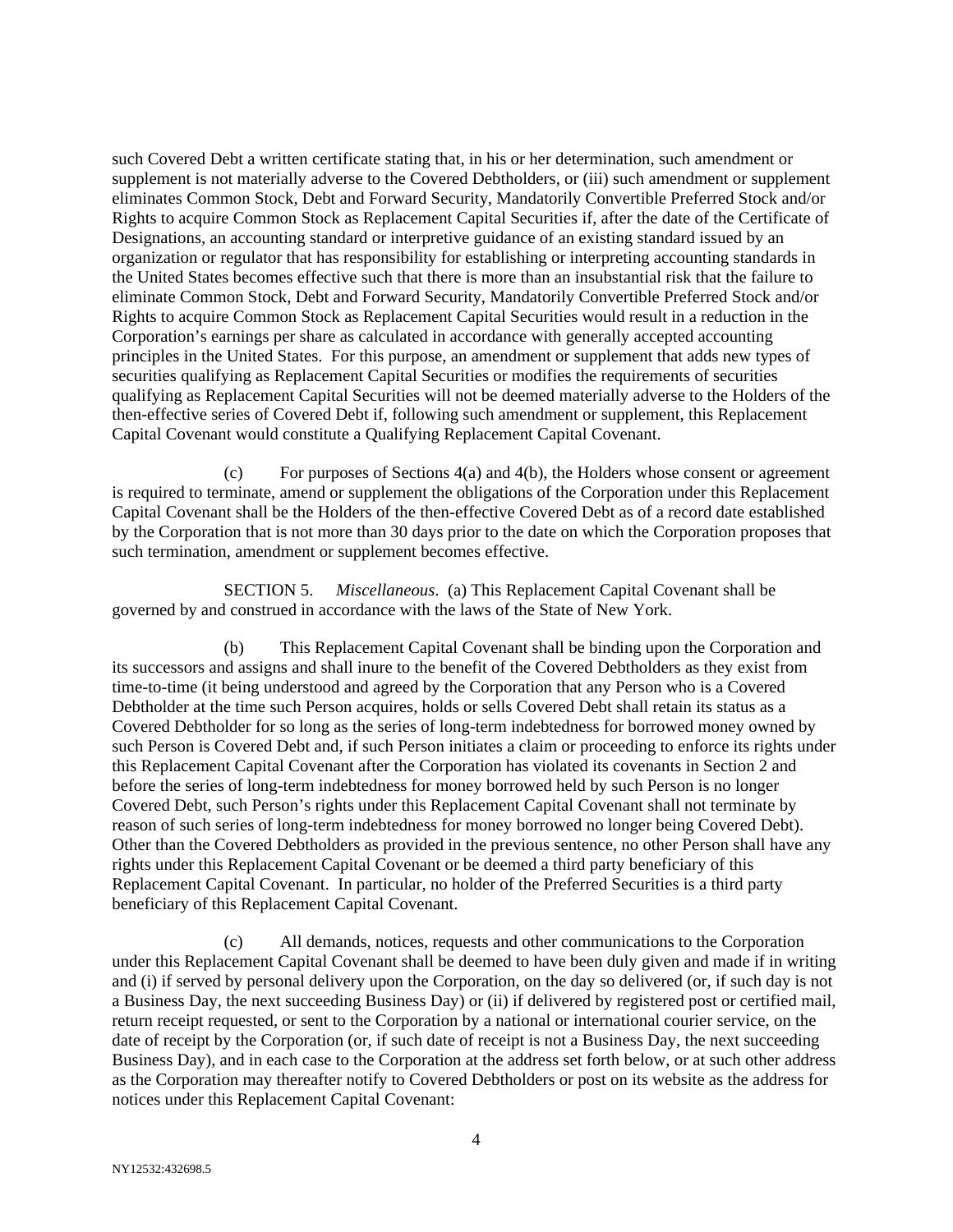such Covered Debt a written certificate stating that, in his or her determination, such amendment or supplement is not materially adverse to the Covered Debtholders, or (iii) such amendment or supplement eliminates Common Stock, Debt and Forward Security, Mandatorily Convertible Preferred Stock and/or Rights to acquire Common Stock as Replacement Capital Securities if, after the date of the Certificate of Designations, an accounting standard or interpretive guidance of an existing standard issued by an organization or regulator that has responsibility for establishing or interpreting accounting standards in the United States becomes effective such that there is more than an insubstantial risk that the failure to eliminate Common Stock, Debt and Forward Security, Mandatorily Convertible Preferred Stock and/or Rights to acquire Common Stock as Replacement Capital Securities would result in a reduction in the Corporation's earnings per share as calculated in accordance with generally accepted accounting principles in the United States. For this purpose, an amendment or supplement that adds new types of securities qualifying as Replacement Capital Securities or modifies the requirements of securities qualifying as Replacement Capital Securities will not be deemed materially adverse to the Holders of the then-effective series of Covered Debt if, following such amendment or supplement, this Replacement Capital Covenant would constitute a Qualifying Replacement Capital Covenant.

(c) For purposes of Sections  $4(a)$  and  $4(b)$ , the Holders whose consent or agreement is required to terminate, amend or supplement the obligations of the Corporation under this Replacement Capital Covenant shall be the Holders of the then-effective Covered Debt as of a record date established by the Corporation that is not more than 30 days prior to the date on which the Corporation proposes that such termination, amendment or supplement becomes effective.

SECTION 5. *Miscellaneous*. (a) This Replacement Capital Covenant shall be governed by and construed in accordance with the laws of the State of New York.

(b) This Replacement Capital Covenant shall be binding upon the Corporation and its successors and assigns and shall inure to the benefit of the Covered Debtholders as they exist from time-to-time (it being understood and agreed by the Corporation that any Person who is a Covered Debtholder at the time such Person acquires, holds or sells Covered Debt shall retain its status as a Covered Debtholder for so long as the series of long-term indebtedness for borrowed money owned by such Person is Covered Debt and, if such Person initiates a claim or proceeding to enforce its rights under this Replacement Capital Covenant after the Corporation has violated its covenants in Section 2 and before the series of long-term indebtedness for money borrowed held by such Person is no longer Covered Debt, such Person's rights under this Replacement Capital Covenant shall not terminate by reason of such series of long-term indebtedness for money borrowed no longer being Covered Debt). Other than the Covered Debtholders as provided in the previous sentence, no other Person shall have any rights under this Replacement Capital Covenant or be deemed a third party beneficiary of this Replacement Capital Covenant. In particular, no holder of the Preferred Securities is a third party beneficiary of this Replacement Capital Covenant.

(c) All demands, notices, requests and other communications to the Corporation under this Replacement Capital Covenant shall be deemed to have been duly given and made if in writing and (i) if served by personal delivery upon the Corporation, on the day so delivered (or, if such day is not a Business Day, the next succeeding Business Day) or (ii) if delivered by registered post or certified mail, return receipt requested, or sent to the Corporation by a national or international courier service, on the date of receipt by the Corporation (or, if such date of receipt is not a Business Day, the next succeeding Business Day), and in each case to the Corporation at the address set forth below, or at such other address as the Corporation may thereafter notify to Covered Debtholders or post on its website as the address for notices under this Replacement Capital Covenant: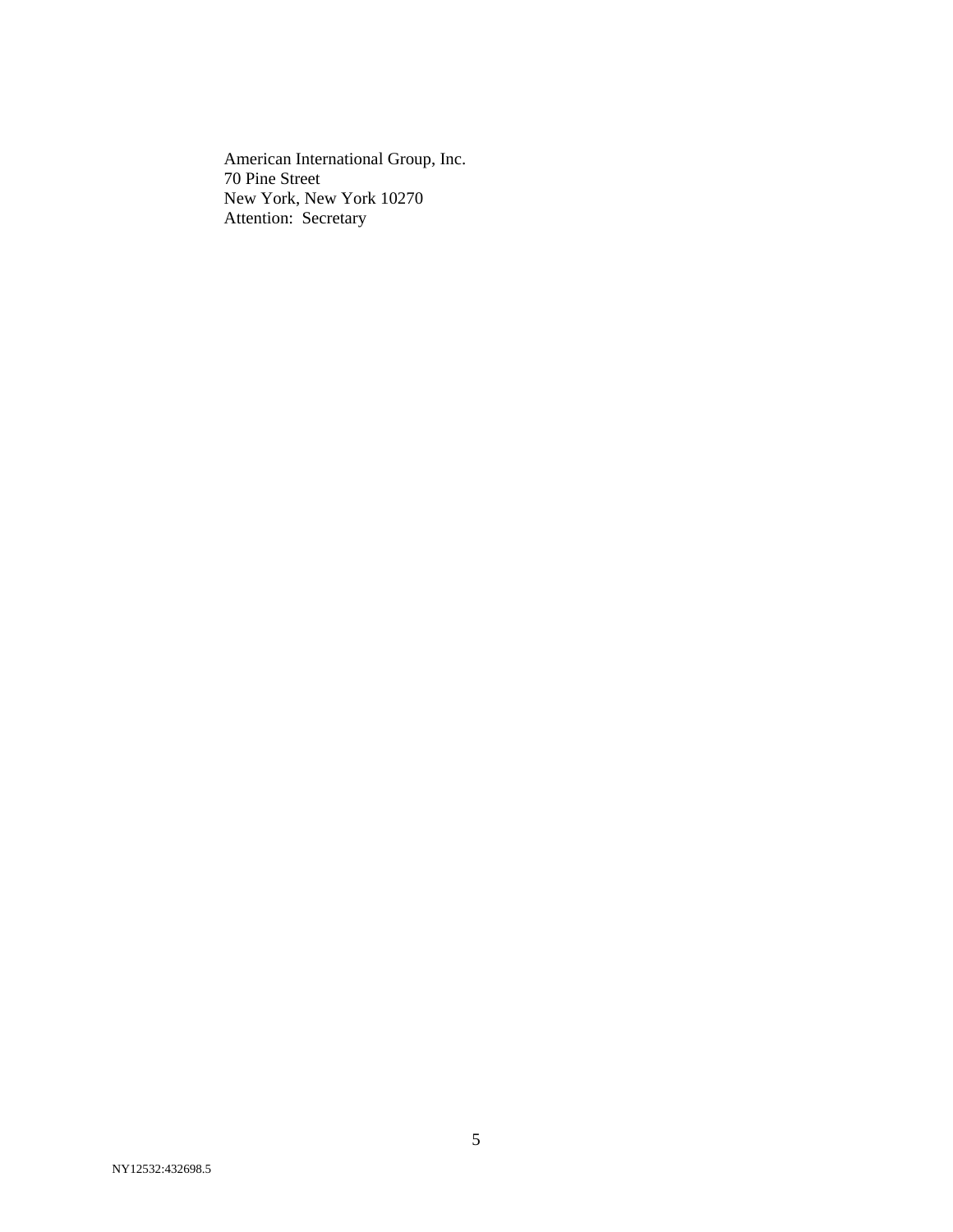American International Group, Inc. 70 Pine Street New York, New York 10270 Attention: Secretary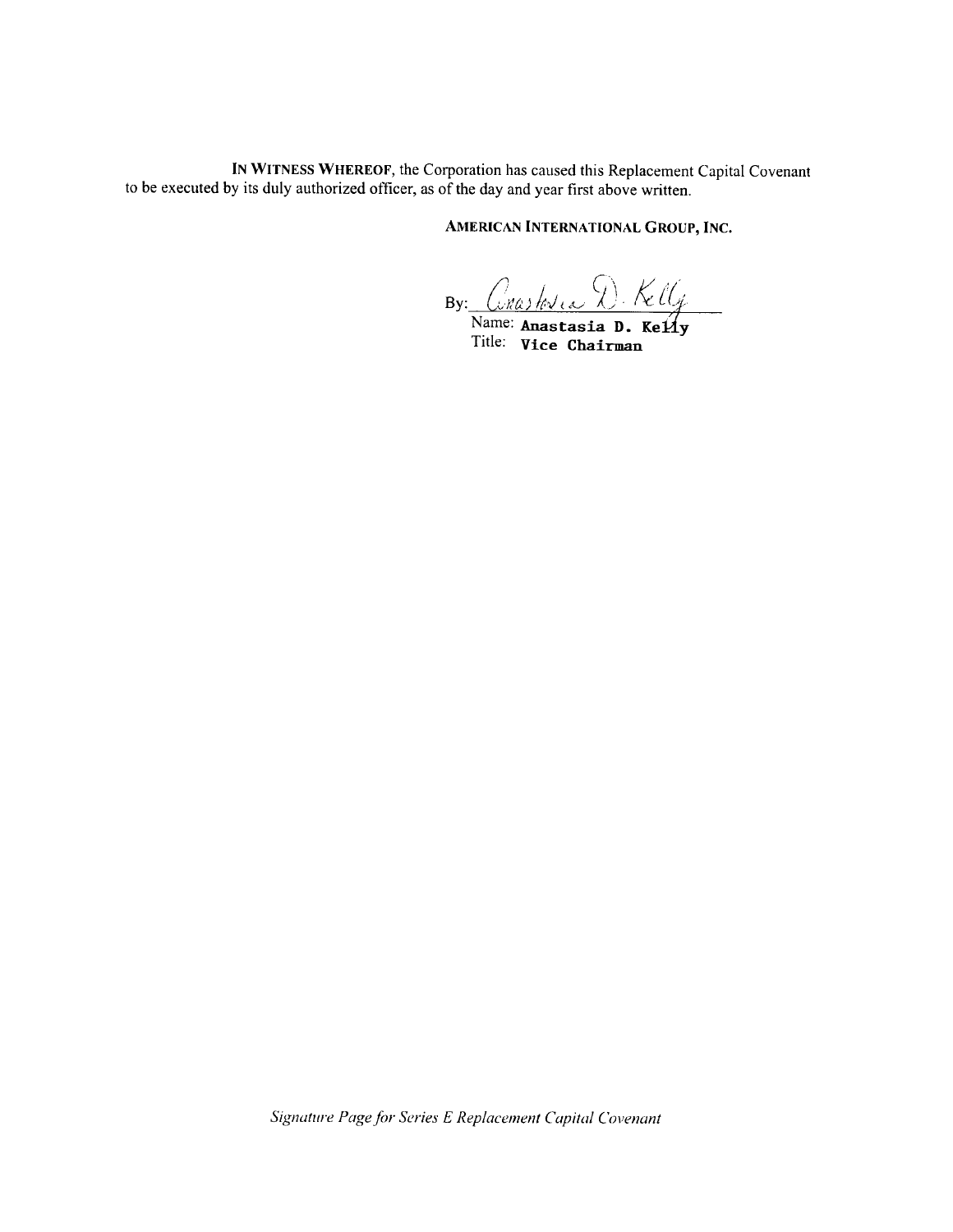IN WITNESS WHEREOF, the Corporation has caused this Replacement Capital Covenant to be executed by its duly authorized officer, as of the day and year first above written.

AMERICAN INTERNATIONAL GROUP, INC.

By: Conasteria D. Kelly

Title: Vice Chairman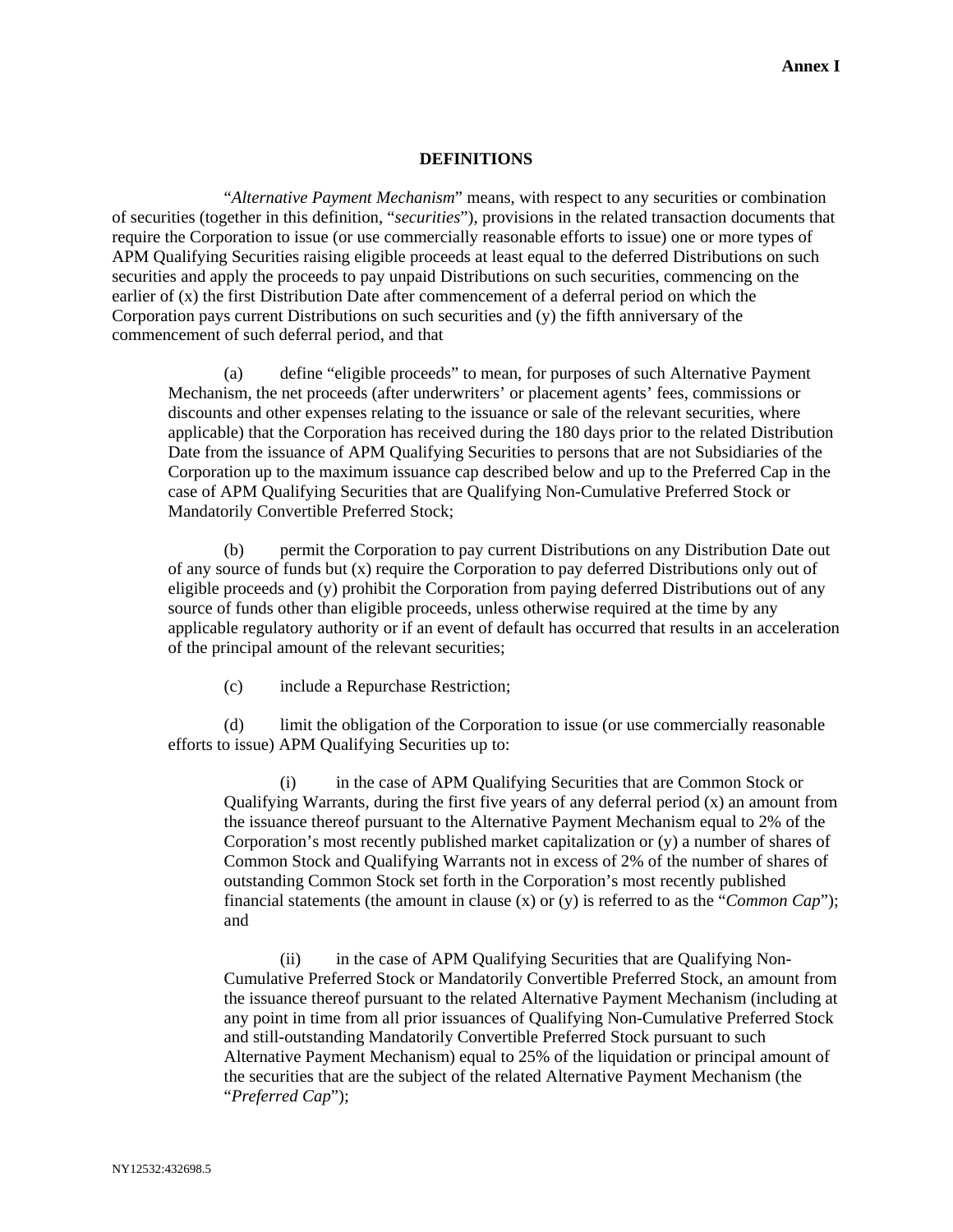## **DEFINITIONS**

"*Alternative Payment Mechanism*" means, with respect to any securities or combination of securities (together in this definition, "*securities*"), provisions in the related transaction documents that require the Corporation to issue (or use commercially reasonable efforts to issue) one or more types of APM Qualifying Securities raising eligible proceeds at least equal to the deferred Distributions on such securities and apply the proceeds to pay unpaid Distributions on such securities, commencing on the earlier of (x) the first Distribution Date after commencement of a deferral period on which the Corporation pays current Distributions on such securities and (y) the fifth anniversary of the commencement of such deferral period, and that

(a) define "eligible proceeds" to mean, for purposes of such Alternative Payment Mechanism, the net proceeds (after underwriters' or placement agents' fees, commissions or discounts and other expenses relating to the issuance or sale of the relevant securities, where applicable) that the Corporation has received during the 180 days prior to the related Distribution Date from the issuance of APM Qualifying Securities to persons that are not Subsidiaries of the Corporation up to the maximum issuance cap described below and up to the Preferred Cap in the case of APM Qualifying Securities that are Qualifying Non-Cumulative Preferred Stock or Mandatorily Convertible Preferred Stock;

(b) permit the Corporation to pay current Distributions on any Distribution Date out of any source of funds but (x) require the Corporation to pay deferred Distributions only out of eligible proceeds and (y) prohibit the Corporation from paying deferred Distributions out of any source of funds other than eligible proceeds, unless otherwise required at the time by any applicable regulatory authority or if an event of default has occurred that results in an acceleration of the principal amount of the relevant securities;

(c) include a Repurchase Restriction;

(d) limit the obligation of the Corporation to issue (or use commercially reasonable efforts to issue) APM Qualifying Securities up to:

(i) in the case of APM Qualifying Securities that are Common Stock or Qualifying Warrants, during the first five years of any deferral period  $(x)$  an amount from the issuance thereof pursuant to the Alternative Payment Mechanism equal to 2% of the Corporation's most recently published market capitalization or (y) a number of shares of Common Stock and Qualifying Warrants not in excess of 2% of the number of shares of outstanding Common Stock set forth in the Corporation's most recently published financial statements (the amount in clause (x) or (y) is referred to as the "*Common Cap*"); and

(ii) in the case of APM Qualifying Securities that are Qualifying Non-Cumulative Preferred Stock or Mandatorily Convertible Preferred Stock, an amount from the issuance thereof pursuant to the related Alternative Payment Mechanism (including at any point in time from all prior issuances of Qualifying Non-Cumulative Preferred Stock and still-outstanding Mandatorily Convertible Preferred Stock pursuant to such Alternative Payment Mechanism) equal to 25% of the liquidation or principal amount of the securities that are the subject of the related Alternative Payment Mechanism (the "*Preferred Cap*");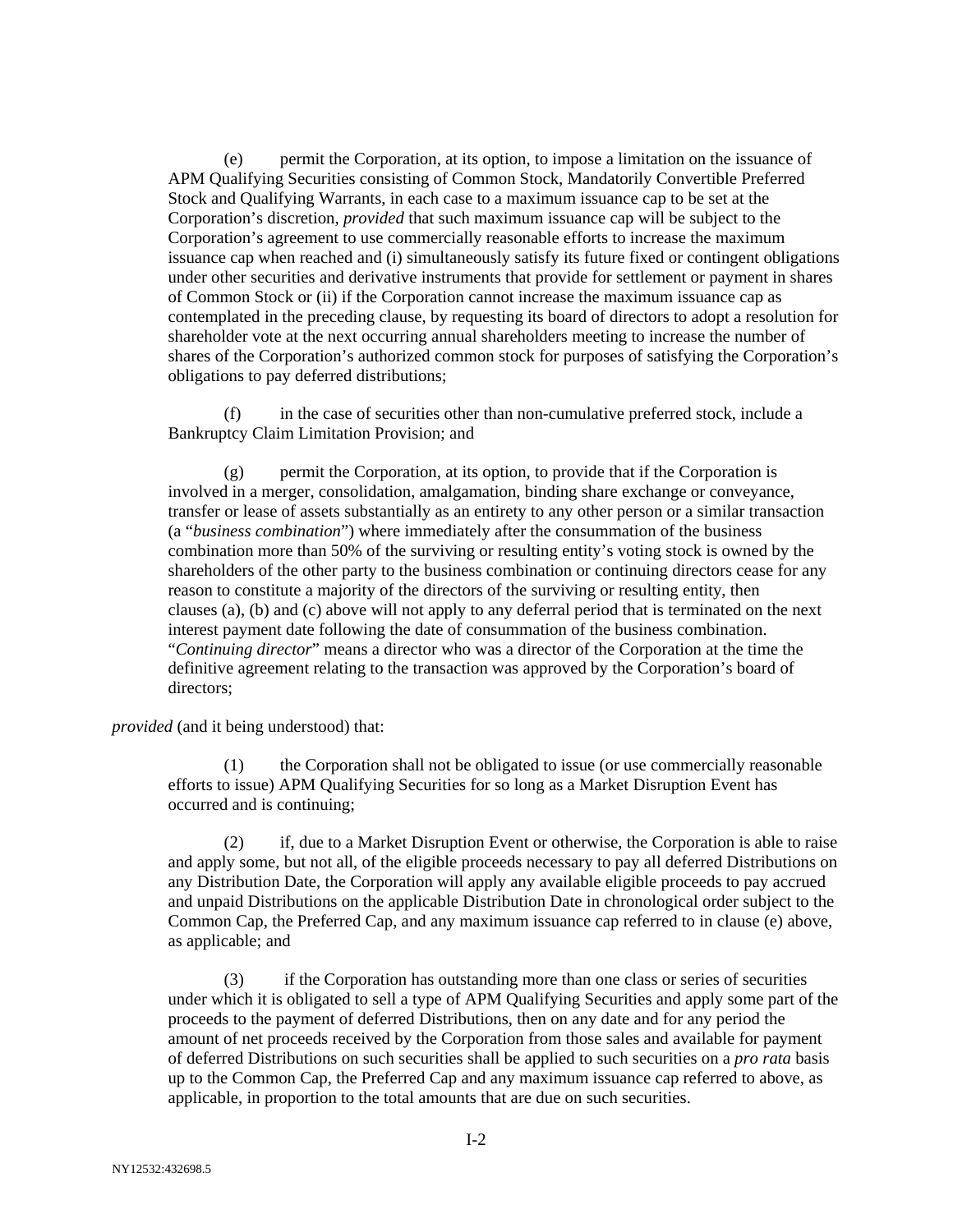(e) permit the Corporation, at its option, to impose a limitation on the issuance of APM Qualifying Securities consisting of Common Stock, Mandatorily Convertible Preferred Stock and Qualifying Warrants, in each case to a maximum issuance cap to be set at the Corporation's discretion, *provided* that such maximum issuance cap will be subject to the Corporation's agreement to use commercially reasonable efforts to increase the maximum issuance cap when reached and (i) simultaneously satisfy its future fixed or contingent obligations under other securities and derivative instruments that provide for settlement or payment in shares of Common Stock or (ii) if the Corporation cannot increase the maximum issuance cap as contemplated in the preceding clause, by requesting its board of directors to adopt a resolution for shareholder vote at the next occurring annual shareholders meeting to increase the number of shares of the Corporation's authorized common stock for purposes of satisfying the Corporation's obligations to pay deferred distributions;

(f) in the case of securities other than non-cumulative preferred stock, include a Bankruptcy Claim Limitation Provision; and

(g) permit the Corporation, at its option, to provide that if the Corporation is involved in a merger, consolidation, amalgamation, binding share exchange or conveyance, transfer or lease of assets substantially as an entirety to any other person or a similar transaction (a "*business combination*") where immediately after the consummation of the business combination more than 50% of the surviving or resulting entity's voting stock is owned by the shareholders of the other party to the business combination or continuing directors cease for any reason to constitute a majority of the directors of the surviving or resulting entity, then clauses (a), (b) and (c) above will not apply to any deferral period that is terminated on the next interest payment date following the date of consummation of the business combination. "*Continuing director*" means a director who was a director of the Corporation at the time the definitive agreement relating to the transaction was approved by the Corporation's board of directors;

*provided* (and it being understood) that:

 (1) the Corporation shall not be obligated to issue (or use commercially reasonable efforts to issue) APM Qualifying Securities for so long as a Market Disruption Event has occurred and is continuing;

 (2) if, due to a Market Disruption Event or otherwise, the Corporation is able to raise and apply some, but not all, of the eligible proceeds necessary to pay all deferred Distributions on any Distribution Date, the Corporation will apply any available eligible proceeds to pay accrued and unpaid Distributions on the applicable Distribution Date in chronological order subject to the Common Cap, the Preferred Cap, and any maximum issuance cap referred to in clause (e) above, as applicable; and

 (3) if the Corporation has outstanding more than one class or series of securities under which it is obligated to sell a type of APM Qualifying Securities and apply some part of the proceeds to the payment of deferred Distributions, then on any date and for any period the amount of net proceeds received by the Corporation from those sales and available for payment of deferred Distributions on such securities shall be applied to such securities on a *pro rata* basis up to the Common Cap, the Preferred Cap and any maximum issuance cap referred to above, as applicable, in proportion to the total amounts that are due on such securities.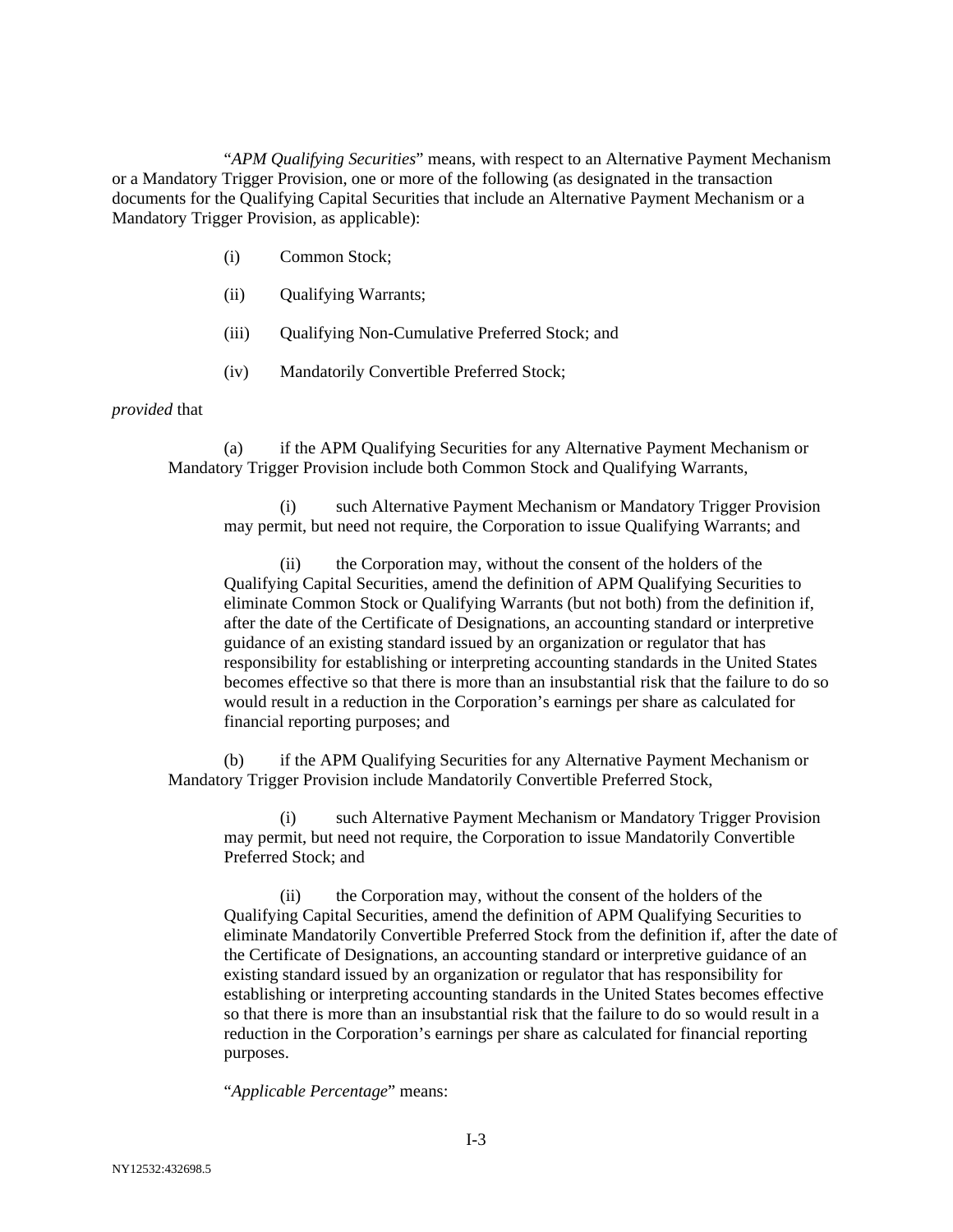"*APM Qualifying Securities*" means, with respect to an Alternative Payment Mechanism or a Mandatory Trigger Provision, one or more of the following (as designated in the transaction documents for the Qualifying Capital Securities that include an Alternative Payment Mechanism or a Mandatory Trigger Provision, as applicable):

- (i) Common Stock;
- (ii) Qualifying Warrants;
- (iii) Oualifying Non-Cumulative Preferred Stock; and
- (iv) Mandatorily Convertible Preferred Stock;

## *provided* that

(a) if the APM Qualifying Securities for any Alternative Payment Mechanism or Mandatory Trigger Provision include both Common Stock and Qualifying Warrants,

(i) such Alternative Payment Mechanism or Mandatory Trigger Provision may permit, but need not require, the Corporation to issue Qualifying Warrants; and

(ii) the Corporation may, without the consent of the holders of the Qualifying Capital Securities, amend the definition of APM Qualifying Securities to eliminate Common Stock or Qualifying Warrants (but not both) from the definition if, after the date of the Certificate of Designations, an accounting standard or interpretive guidance of an existing standard issued by an organization or regulator that has responsibility for establishing or interpreting accounting standards in the United States becomes effective so that there is more than an insubstantial risk that the failure to do so would result in a reduction in the Corporation's earnings per share as calculated for financial reporting purposes; and

(b) if the APM Qualifying Securities for any Alternative Payment Mechanism or Mandatory Trigger Provision include Mandatorily Convertible Preferred Stock,

(i) such Alternative Payment Mechanism or Mandatory Trigger Provision may permit, but need not require, the Corporation to issue Mandatorily Convertible Preferred Stock; and

(ii) the Corporation may, without the consent of the holders of the Qualifying Capital Securities, amend the definition of APM Qualifying Securities to eliminate Mandatorily Convertible Preferred Stock from the definition if, after the date of the Certificate of Designations, an accounting standard or interpretive guidance of an existing standard issued by an organization or regulator that has responsibility for establishing or interpreting accounting standards in the United States becomes effective so that there is more than an insubstantial risk that the failure to do so would result in a reduction in the Corporation's earnings per share as calculated for financial reporting purposes.

"*Applicable Percentage*" means: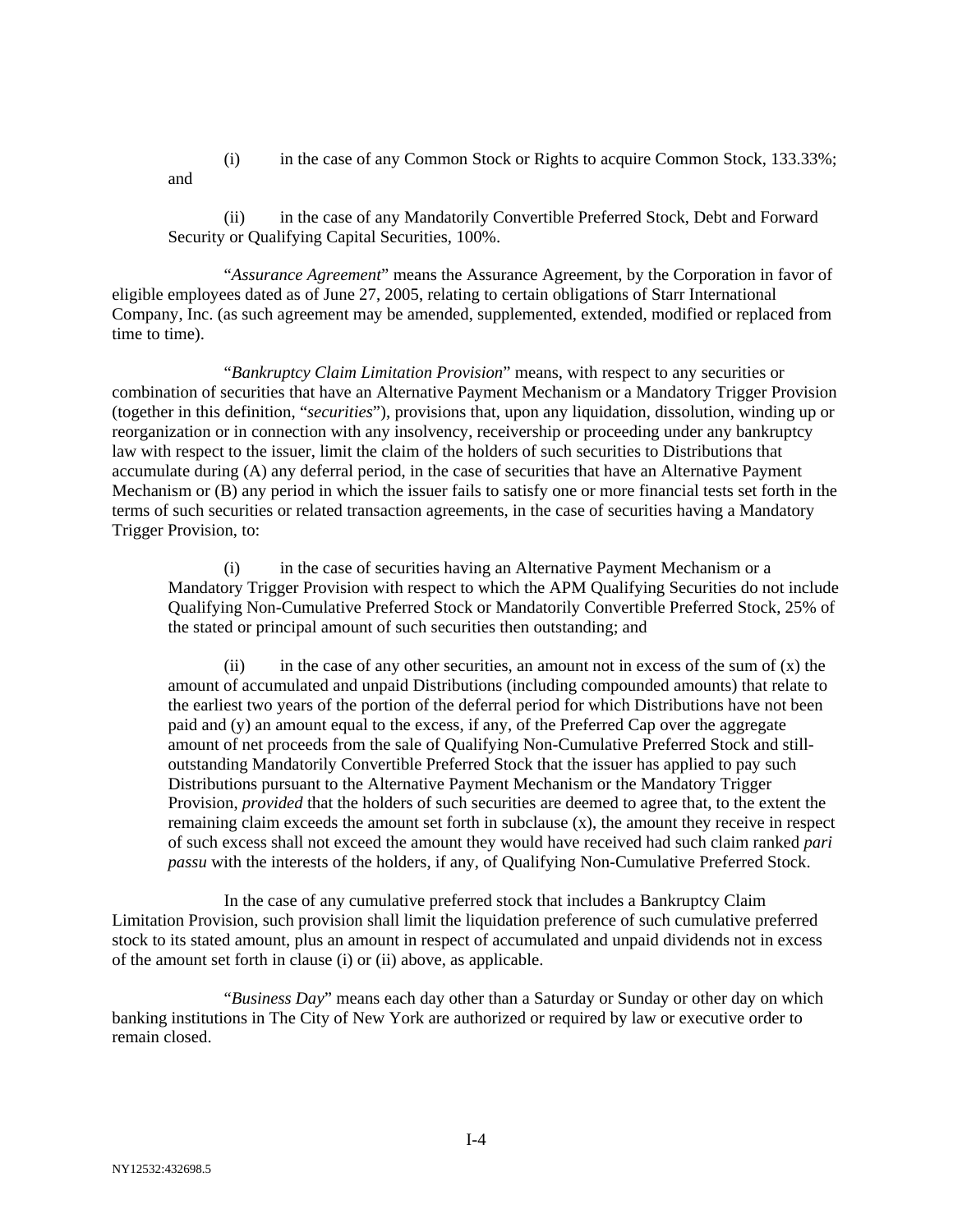(i) in the case of any Common Stock or Rights to acquire Common Stock, 133.33%; and

(ii) in the case of any Mandatorily Convertible Preferred Stock, Debt and Forward Security or Qualifying Capital Securities, 100%.

"*Assurance Agreement*" means the Assurance Agreement, by the Corporation in favor of eligible employees dated as of June 27, 2005, relating to certain obligations of Starr International Company, Inc. (as such agreement may be amended, supplemented, extended, modified or replaced from time to time).

"*Bankruptcy Claim Limitation Provision*" means, with respect to any securities or combination of securities that have an Alternative Payment Mechanism or a Mandatory Trigger Provision (together in this definition, "*securities*"), provisions that, upon any liquidation, dissolution, winding up or reorganization or in connection with any insolvency, receivership or proceeding under any bankruptcy law with respect to the issuer, limit the claim of the holders of such securities to Distributions that accumulate during (A) any deferral period, in the case of securities that have an Alternative Payment Mechanism or (B) any period in which the issuer fails to satisfy one or more financial tests set forth in the terms of such securities or related transaction agreements, in the case of securities having a Mandatory Trigger Provision, to:

(i) in the case of securities having an Alternative Payment Mechanism or a Mandatory Trigger Provision with respect to which the APM Qualifying Securities do not include Qualifying Non-Cumulative Preferred Stock or Mandatorily Convertible Preferred Stock, 25% of the stated or principal amount of such securities then outstanding; and

(ii) in the case of any other securities, an amount not in excess of the sum of  $(x)$  the amount of accumulated and unpaid Distributions (including compounded amounts) that relate to the earliest two years of the portion of the deferral period for which Distributions have not been paid and (y) an amount equal to the excess, if any, of the Preferred Cap over the aggregate amount of net proceeds from the sale of Qualifying Non-Cumulative Preferred Stock and stilloutstanding Mandatorily Convertible Preferred Stock that the issuer has applied to pay such Distributions pursuant to the Alternative Payment Mechanism or the Mandatory Trigger Provision, *provided* that the holders of such securities are deemed to agree that, to the extent the remaining claim exceeds the amount set forth in subclause (x), the amount they receive in respect of such excess shall not exceed the amount they would have received had such claim ranked *pari passu* with the interests of the holders, if any, of Qualifying Non-Cumulative Preferred Stock.

In the case of any cumulative preferred stock that includes a Bankruptcy Claim Limitation Provision, such provision shall limit the liquidation preference of such cumulative preferred stock to its stated amount, plus an amount in respect of accumulated and unpaid dividends not in excess of the amount set forth in clause (i) or (ii) above, as applicable.

"*Business Day*" means each day other than a Saturday or Sunday or other day on which banking institutions in The City of New York are authorized or required by law or executive order to remain closed.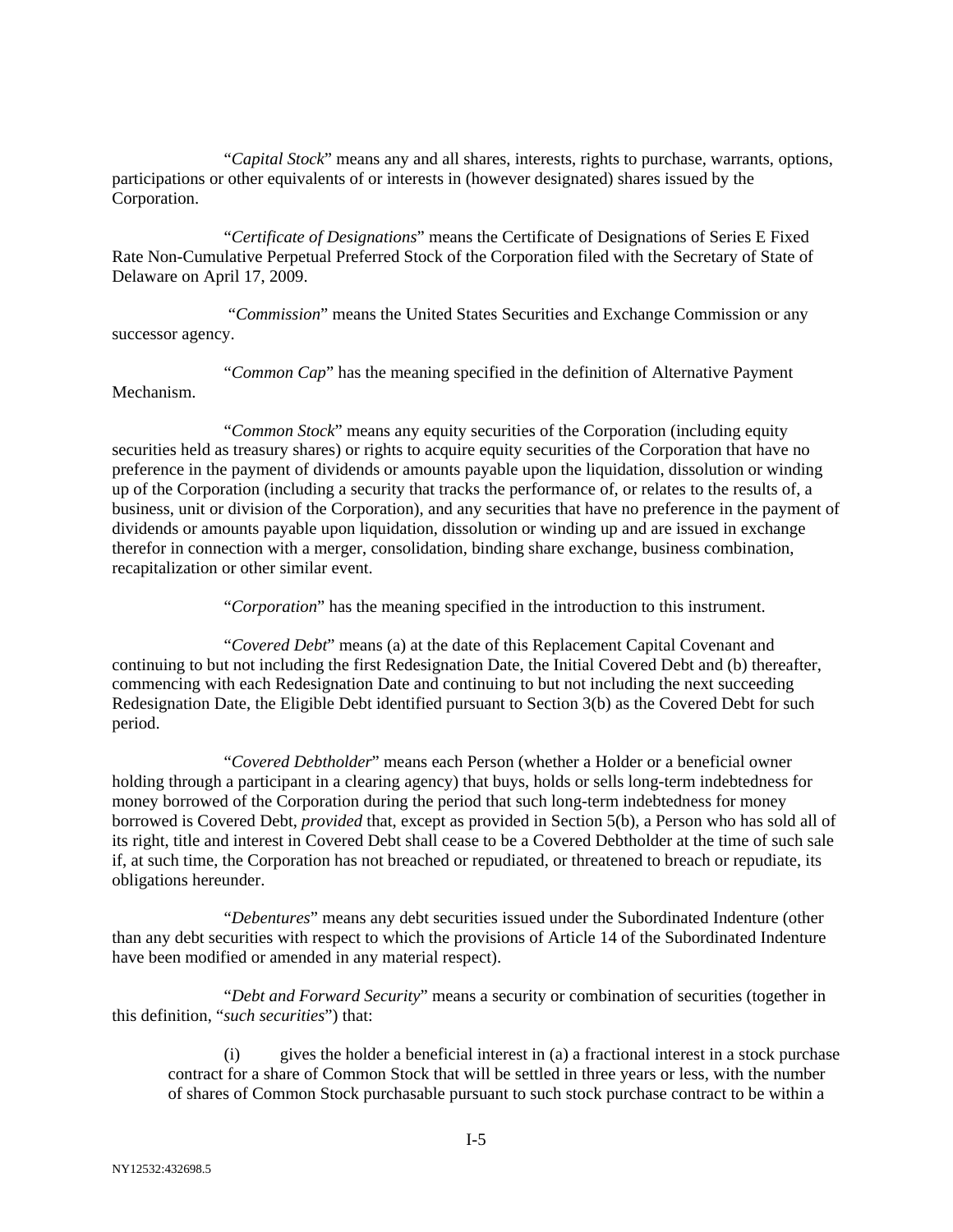"*Capital Stock*" means any and all shares, interests, rights to purchase, warrants, options, participations or other equivalents of or interests in (however designated) shares issued by the Corporation.

"*Certificate of Designations*" means the Certificate of Designations of Series E Fixed Rate Non-Cumulative Perpetual Preferred Stock of the Corporation filed with the Secretary of State of Delaware on April 17, 2009.

 "*Commission*" means the United States Securities and Exchange Commission or any successor agency.

"*Common Cap*" has the meaning specified in the definition of Alternative Payment Mechanism.

"*Common Stock*" means any equity securities of the Corporation (including equity securities held as treasury shares) or rights to acquire equity securities of the Corporation that have no preference in the payment of dividends or amounts payable upon the liquidation, dissolution or winding up of the Corporation (including a security that tracks the performance of, or relates to the results of, a business, unit or division of the Corporation), and any securities that have no preference in the payment of dividends or amounts payable upon liquidation, dissolution or winding up and are issued in exchange therefor in connection with a merger, consolidation, binding share exchange, business combination, recapitalization or other similar event.

"*Corporation*" has the meaning specified in the introduction to this instrument.

"*Covered Debt*" means (a) at the date of this Replacement Capital Covenant and continuing to but not including the first Redesignation Date, the Initial Covered Debt and (b) thereafter, commencing with each Redesignation Date and continuing to but not including the next succeeding Redesignation Date, the Eligible Debt identified pursuant to Section 3(b) as the Covered Debt for such period.

"*Covered Debtholder*" means each Person (whether a Holder or a beneficial owner holding through a participant in a clearing agency) that buys, holds or sells long-term indebtedness for money borrowed of the Corporation during the period that such long-term indebtedness for money borrowed is Covered Debt, *provided* that, except as provided in Section 5(b), a Person who has sold all of its right, title and interest in Covered Debt shall cease to be a Covered Debtholder at the time of such sale if, at such time, the Corporation has not breached or repudiated, or threatened to breach or repudiate, its obligations hereunder.

"*Debentures*" means any debt securities issued under the Subordinated Indenture (other than any debt securities with respect to which the provisions of Article 14 of the Subordinated Indenture have been modified or amended in any material respect).

"*Debt and Forward Security*" means a security or combination of securities (together in this definition, "*such securities*") that:

(i) gives the holder a beneficial interest in (a) a fractional interest in a stock purchase contract for a share of Common Stock that will be settled in three years or less, with the number of shares of Common Stock purchasable pursuant to such stock purchase contract to be within a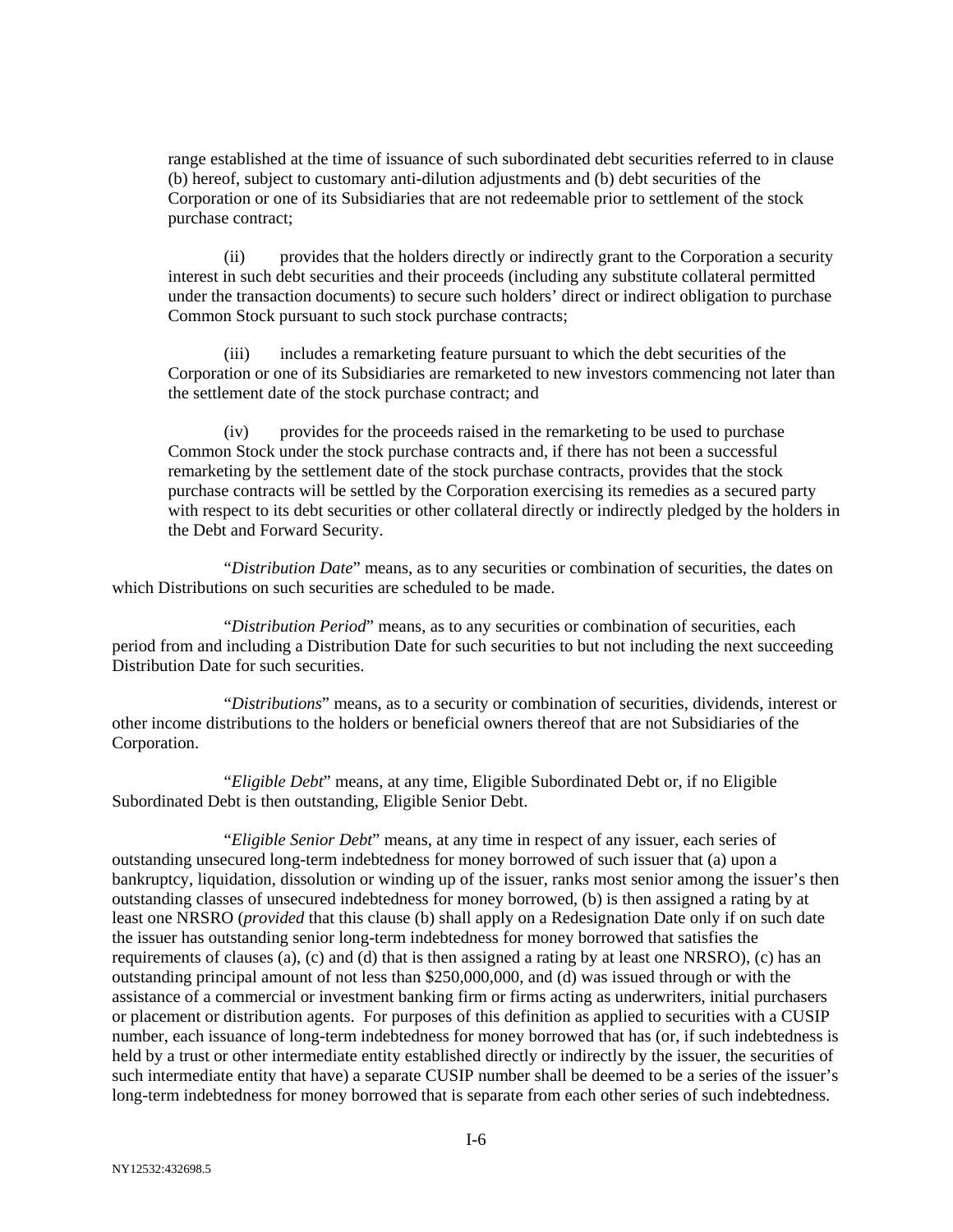range established at the time of issuance of such subordinated debt securities referred to in clause (b) hereof, subject to customary anti-dilution adjustments and (b) debt securities of the Corporation or one of its Subsidiaries that are not redeemable prior to settlement of the stock purchase contract;

(ii) provides that the holders directly or indirectly grant to the Corporation a security interest in such debt securities and their proceeds (including any substitute collateral permitted under the transaction documents) to secure such holders' direct or indirect obligation to purchase Common Stock pursuant to such stock purchase contracts;

(iii) includes a remarketing feature pursuant to which the debt securities of the Corporation or one of its Subsidiaries are remarketed to new investors commencing not later than the settlement date of the stock purchase contract; and

(iv) provides for the proceeds raised in the remarketing to be used to purchase Common Stock under the stock purchase contracts and, if there has not been a successful remarketing by the settlement date of the stock purchase contracts, provides that the stock purchase contracts will be settled by the Corporation exercising its remedies as a secured party with respect to its debt securities or other collateral directly or indirectly pledged by the holders in the Debt and Forward Security.

"*Distribution Date*" means, as to any securities or combination of securities, the dates on which Distributions on such securities are scheduled to be made.

"*Distribution Period*" means, as to any securities or combination of securities, each period from and including a Distribution Date for such securities to but not including the next succeeding Distribution Date for such securities.

"*Distributions*" means, as to a security or combination of securities, dividends, interest or other income distributions to the holders or beneficial owners thereof that are not Subsidiaries of the Corporation.

"*Eligible Debt*" means, at any time, Eligible Subordinated Debt or, if no Eligible Subordinated Debt is then outstanding, Eligible Senior Debt.

"*Eligible Senior Debt*" means, at any time in respect of any issuer, each series of outstanding unsecured long-term indebtedness for money borrowed of such issuer that (a) upon a bankruptcy, liquidation, dissolution or winding up of the issuer, ranks most senior among the issuer's then outstanding classes of unsecured indebtedness for money borrowed, (b) is then assigned a rating by at least one NRSRO (*provided* that this clause (b) shall apply on a Redesignation Date only if on such date the issuer has outstanding senior long-term indebtedness for money borrowed that satisfies the requirements of clauses (a), (c) and (d) that is then assigned a rating by at least one NRSRO), (c) has an outstanding principal amount of not less than \$250,000,000, and (d) was issued through or with the assistance of a commercial or investment banking firm or firms acting as underwriters, initial purchasers or placement or distribution agents. For purposes of this definition as applied to securities with a CUSIP number, each issuance of long-term indebtedness for money borrowed that has (or, if such indebtedness is held by a trust or other intermediate entity established directly or indirectly by the issuer, the securities of such intermediate entity that have) a separate CUSIP number shall be deemed to be a series of the issuer's long-term indebtedness for money borrowed that is separate from each other series of such indebtedness.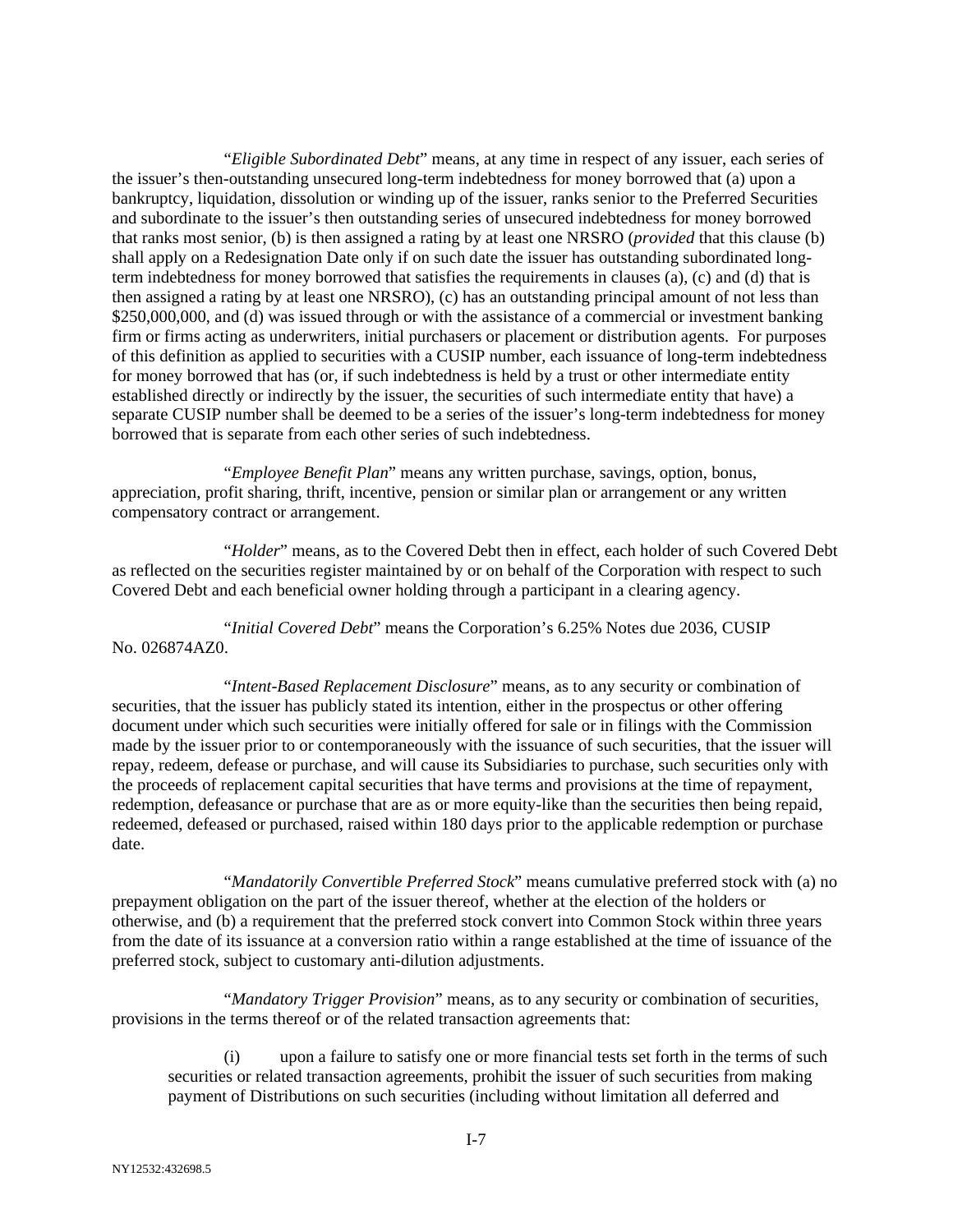"*Eligible Subordinated Debt*" means, at any time in respect of any issuer, each series of the issuer's then-outstanding unsecured long-term indebtedness for money borrowed that (a) upon a bankruptcy, liquidation, dissolution or winding up of the issuer, ranks senior to the Preferred Securities and subordinate to the issuer's then outstanding series of unsecured indebtedness for money borrowed that ranks most senior, (b) is then assigned a rating by at least one NRSRO (*provided* that this clause (b) shall apply on a Redesignation Date only if on such date the issuer has outstanding subordinated longterm indebtedness for money borrowed that satisfies the requirements in clauses (a), (c) and (d) that is then assigned a rating by at least one NRSRO), (c) has an outstanding principal amount of not less than \$250,000,000, and (d) was issued through or with the assistance of a commercial or investment banking firm or firms acting as underwriters, initial purchasers or placement or distribution agents. For purposes of this definition as applied to securities with a CUSIP number, each issuance of long-term indebtedness for money borrowed that has (or, if such indebtedness is held by a trust or other intermediate entity established directly or indirectly by the issuer, the securities of such intermediate entity that have) a separate CUSIP number shall be deemed to be a series of the issuer's long-term indebtedness for money borrowed that is separate from each other series of such indebtedness.

"*Employee Benefit Plan*" means any written purchase, savings, option, bonus, appreciation, profit sharing, thrift, incentive, pension or similar plan or arrangement or any written compensatory contract or arrangement.

"*Holder*" means, as to the Covered Debt then in effect, each holder of such Covered Debt as reflected on the securities register maintained by or on behalf of the Corporation with respect to such Covered Debt and each beneficial owner holding through a participant in a clearing agency.

"*Initial Covered Debt*" means the Corporation's 6.25% Notes due 2036, CUSIP No. 026874AZ0.

"*Intent-Based Replacement Disclosure*" means, as to any security or combination of securities, that the issuer has publicly stated its intention, either in the prospectus or other offering document under which such securities were initially offered for sale or in filings with the Commission made by the issuer prior to or contemporaneously with the issuance of such securities, that the issuer will repay, redeem, defease or purchase, and will cause its Subsidiaries to purchase, such securities only with the proceeds of replacement capital securities that have terms and provisions at the time of repayment, redemption, defeasance or purchase that are as or more equity-like than the securities then being repaid, redeemed, defeased or purchased, raised within 180 days prior to the applicable redemption or purchase date.

"*Mandatorily Convertible Preferred Stock*" means cumulative preferred stock with (a) no prepayment obligation on the part of the issuer thereof, whether at the election of the holders or otherwise, and (b) a requirement that the preferred stock convert into Common Stock within three years from the date of its issuance at a conversion ratio within a range established at the time of issuance of the preferred stock, subject to customary anti-dilution adjustments.

"*Mandatory Trigger Provision*" means, as to any security or combination of securities, provisions in the terms thereof or of the related transaction agreements that:

(i) upon a failure to satisfy one or more financial tests set forth in the terms of such securities or related transaction agreements, prohibit the issuer of such securities from making payment of Distributions on such securities (including without limitation all deferred and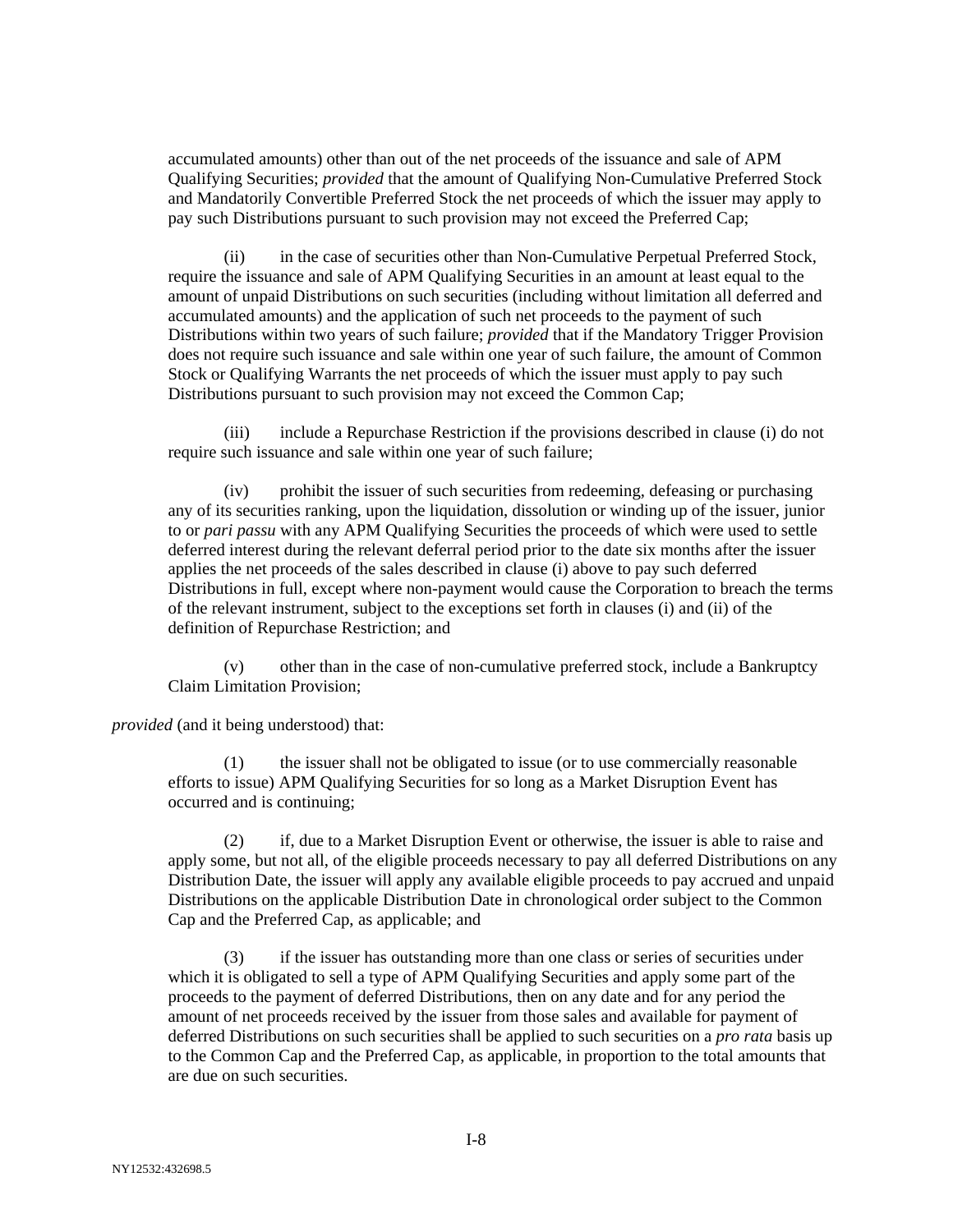accumulated amounts) other than out of the net proceeds of the issuance and sale of APM Qualifying Securities; *provided* that the amount of Qualifying Non-Cumulative Preferred Stock and Mandatorily Convertible Preferred Stock the net proceeds of which the issuer may apply to pay such Distributions pursuant to such provision may not exceed the Preferred Cap;

(ii) in the case of securities other than Non-Cumulative Perpetual Preferred Stock, require the issuance and sale of APM Qualifying Securities in an amount at least equal to the amount of unpaid Distributions on such securities (including without limitation all deferred and accumulated amounts) and the application of such net proceeds to the payment of such Distributions within two years of such failure; *provided* that if the Mandatory Trigger Provision does not require such issuance and sale within one year of such failure, the amount of Common Stock or Qualifying Warrants the net proceeds of which the issuer must apply to pay such Distributions pursuant to such provision may not exceed the Common Cap;

(iii) include a Repurchase Restriction if the provisions described in clause (i) do not require such issuance and sale within one year of such failure;

(iv) prohibit the issuer of such securities from redeeming, defeasing or purchasing any of its securities ranking, upon the liquidation, dissolution or winding up of the issuer, junior to or *pari passu* with any APM Qualifying Securities the proceeds of which were used to settle deferred interest during the relevant deferral period prior to the date six months after the issuer applies the net proceeds of the sales described in clause (i) above to pay such deferred Distributions in full, except where non-payment would cause the Corporation to breach the terms of the relevant instrument, subject to the exceptions set forth in clauses (i) and (ii) of the definition of Repurchase Restriction; and

(v) other than in the case of non-cumulative preferred stock, include a Bankruptcy Claim Limitation Provision;

*provided* (and it being understood) that:

 (1) the issuer shall not be obligated to issue (or to use commercially reasonable efforts to issue) APM Qualifying Securities for so long as a Market Disruption Event has occurred and is continuing;

 (2) if, due to a Market Disruption Event or otherwise, the issuer is able to raise and apply some, but not all, of the eligible proceeds necessary to pay all deferred Distributions on any Distribution Date, the issuer will apply any available eligible proceeds to pay accrued and unpaid Distributions on the applicable Distribution Date in chronological order subject to the Common Cap and the Preferred Cap, as applicable; and

 (3) if the issuer has outstanding more than one class or series of securities under which it is obligated to sell a type of APM Qualifying Securities and apply some part of the proceeds to the payment of deferred Distributions, then on any date and for any period the amount of net proceeds received by the issuer from those sales and available for payment of deferred Distributions on such securities shall be applied to such securities on a *pro rata* basis up to the Common Cap and the Preferred Cap, as applicable, in proportion to the total amounts that are due on such securities.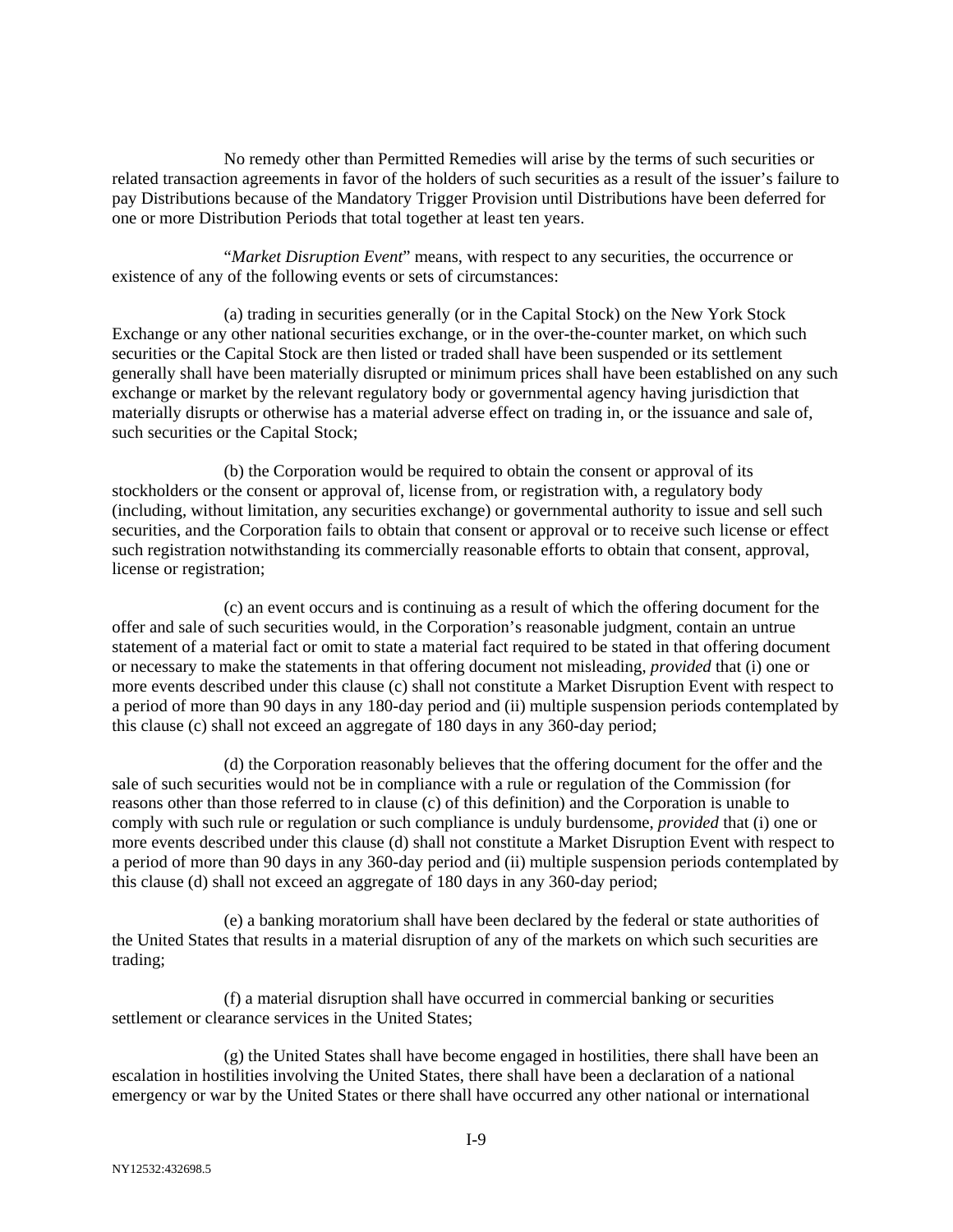No remedy other than Permitted Remedies will arise by the terms of such securities or related transaction agreements in favor of the holders of such securities as a result of the issuer's failure to pay Distributions because of the Mandatory Trigger Provision until Distributions have been deferred for one or more Distribution Periods that total together at least ten years.

"*Market Disruption Event*" means, with respect to any securities, the occurrence or existence of any of the following events or sets of circumstances:

(a) trading in securities generally (or in the Capital Stock) on the New York Stock Exchange or any other national securities exchange, or in the over-the-counter market, on which such securities or the Capital Stock are then listed or traded shall have been suspended or its settlement generally shall have been materially disrupted or minimum prices shall have been established on any such exchange or market by the relevant regulatory body or governmental agency having jurisdiction that materially disrupts or otherwise has a material adverse effect on trading in, or the issuance and sale of, such securities or the Capital Stock;

(b) the Corporation would be required to obtain the consent or approval of its stockholders or the consent or approval of, license from, or registration with, a regulatory body (including, without limitation, any securities exchange) or governmental authority to issue and sell such securities, and the Corporation fails to obtain that consent or approval or to receive such license or effect such registration notwithstanding its commercially reasonable efforts to obtain that consent, approval, license or registration;

(c) an event occurs and is continuing as a result of which the offering document for the offer and sale of such securities would, in the Corporation's reasonable judgment, contain an untrue statement of a material fact or omit to state a material fact required to be stated in that offering document or necessary to make the statements in that offering document not misleading, *provided* that (i) one or more events described under this clause (c) shall not constitute a Market Disruption Event with respect to a period of more than 90 days in any 180-day period and (ii) multiple suspension periods contemplated by this clause (c) shall not exceed an aggregate of 180 days in any 360-day period;

(d) the Corporation reasonably believes that the offering document for the offer and the sale of such securities would not be in compliance with a rule or regulation of the Commission (for reasons other than those referred to in clause (c) of this definition) and the Corporation is unable to comply with such rule or regulation or such compliance is unduly burdensome, *provided* that (i) one or more events described under this clause (d) shall not constitute a Market Disruption Event with respect to a period of more than 90 days in any 360-day period and (ii) multiple suspension periods contemplated by this clause (d) shall not exceed an aggregate of 180 days in any 360-day period;

(e) a banking moratorium shall have been declared by the federal or state authorities of the United States that results in a material disruption of any of the markets on which such securities are trading;

(f) a material disruption shall have occurred in commercial banking or securities settlement or clearance services in the United States;

(g) the United States shall have become engaged in hostilities, there shall have been an escalation in hostilities involving the United States, there shall have been a declaration of a national emergency or war by the United States or there shall have occurred any other national or international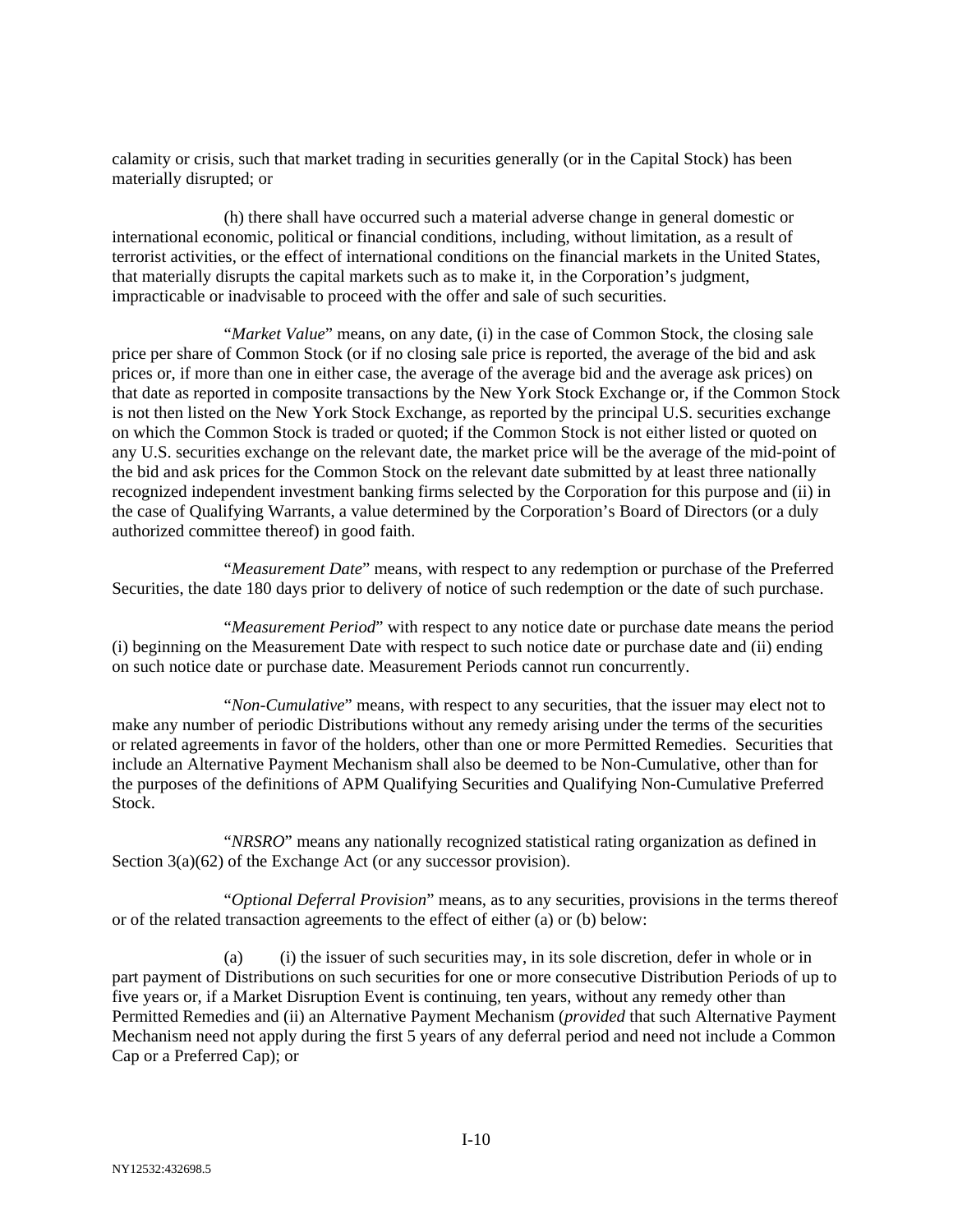calamity or crisis, such that market trading in securities generally (or in the Capital Stock) has been materially disrupted; or

(h) there shall have occurred such a material adverse change in general domestic or international economic, political or financial conditions, including, without limitation, as a result of terrorist activities, or the effect of international conditions on the financial markets in the United States, that materially disrupts the capital markets such as to make it, in the Corporation's judgment, impracticable or inadvisable to proceed with the offer and sale of such securities.

"*Market Value*" means, on any date, (i) in the case of Common Stock, the closing sale price per share of Common Stock (or if no closing sale price is reported, the average of the bid and ask prices or, if more than one in either case, the average of the average bid and the average ask prices) on that date as reported in composite transactions by the New York Stock Exchange or, if the Common Stock is not then listed on the New York Stock Exchange, as reported by the principal U.S. securities exchange on which the Common Stock is traded or quoted; if the Common Stock is not either listed or quoted on any U.S. securities exchange on the relevant date, the market price will be the average of the mid-point of the bid and ask prices for the Common Stock on the relevant date submitted by at least three nationally recognized independent investment banking firms selected by the Corporation for this purpose and (ii) in the case of Qualifying Warrants, a value determined by the Corporation's Board of Directors (or a duly authorized committee thereof) in good faith.

"*Measurement Date*" means, with respect to any redemption or purchase of the Preferred Securities, the date 180 days prior to delivery of notice of such redemption or the date of such purchase.

"*Measurement Period*" with respect to any notice date or purchase date means the period (i) beginning on the Measurement Date with respect to such notice date or purchase date and (ii) ending on such notice date or purchase date. Measurement Periods cannot run concurrently.

"*Non-Cumulative*" means, with respect to any securities, that the issuer may elect not to make any number of periodic Distributions without any remedy arising under the terms of the securities or related agreements in favor of the holders, other than one or more Permitted Remedies. Securities that include an Alternative Payment Mechanism shall also be deemed to be Non-Cumulative, other than for the purposes of the definitions of APM Qualifying Securities and Qualifying Non-Cumulative Preferred Stock.

"*NRSRO*" means any nationally recognized statistical rating organization as defined in Section 3(a)(62) of the Exchange Act (or any successor provision).

"*Optional Deferral Provision*" means, as to any securities, provisions in the terms thereof or of the related transaction agreements to the effect of either (a) or (b) below:

(a) (i) the issuer of such securities may, in its sole discretion, defer in whole or in part payment of Distributions on such securities for one or more consecutive Distribution Periods of up to five years or, if a Market Disruption Event is continuing, ten years, without any remedy other than Permitted Remedies and (ii) an Alternative Payment Mechanism (*provided* that such Alternative Payment Mechanism need not apply during the first 5 years of any deferral period and need not include a Common Cap or a Preferred Cap); or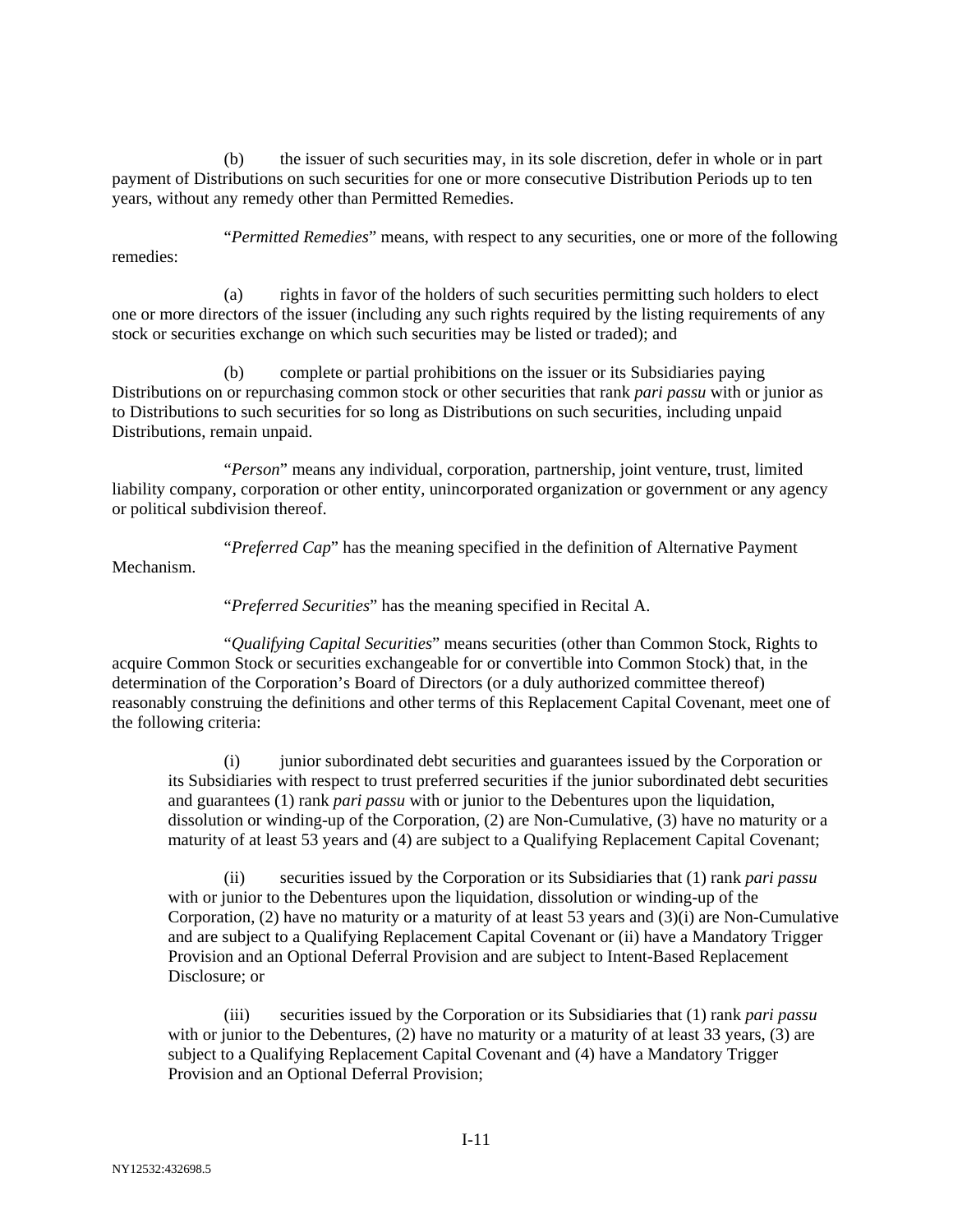(b) the issuer of such securities may, in its sole discretion, defer in whole or in part payment of Distributions on such securities for one or more consecutive Distribution Periods up to ten years, without any remedy other than Permitted Remedies.

"*Permitted Remedies*" means, with respect to any securities, one or more of the following remedies:

(a) rights in favor of the holders of such securities permitting such holders to elect one or more directors of the issuer (including any such rights required by the listing requirements of any stock or securities exchange on which such securities may be listed or traded); and

(b) complete or partial prohibitions on the issuer or its Subsidiaries paying Distributions on or repurchasing common stock or other securities that rank *pari passu* with or junior as to Distributions to such securities for so long as Distributions on such securities, including unpaid Distributions, remain unpaid.

"*Person*" means any individual, corporation, partnership, joint venture, trust, limited liability company, corporation or other entity, unincorporated organization or government or any agency or political subdivision thereof.

"*Preferred Cap*" has the meaning specified in the definition of Alternative Payment Mechanism.

"*Preferred Securities*" has the meaning specified in Recital A.

"*Qualifying Capital Securities*" means securities (other than Common Stock, Rights to acquire Common Stock or securities exchangeable for or convertible into Common Stock) that, in the determination of the Corporation's Board of Directors (or a duly authorized committee thereof) reasonably construing the definitions and other terms of this Replacement Capital Covenant, meet one of the following criteria:

(i) junior subordinated debt securities and guarantees issued by the Corporation or its Subsidiaries with respect to trust preferred securities if the junior subordinated debt securities and guarantees (1) rank *pari passu* with or junior to the Debentures upon the liquidation, dissolution or winding-up of the Corporation, (2) are Non-Cumulative, (3) have no maturity or a maturity of at least 53 years and (4) are subject to a Qualifying Replacement Capital Covenant;

(ii) securities issued by the Corporation or its Subsidiaries that (1) rank *pari passu* with or junior to the Debentures upon the liquidation, dissolution or winding-up of the Corporation, (2) have no maturity or a maturity of at least 53 years and (3)(i) are Non-Cumulative and are subject to a Qualifying Replacement Capital Covenant or (ii) have a Mandatory Trigger Provision and an Optional Deferral Provision and are subject to Intent-Based Replacement Disclosure; or

(iii) securities issued by the Corporation or its Subsidiaries that (1) rank *pari passu* with or junior to the Debentures, (2) have no maturity or a maturity of at least 33 years, (3) are subject to a Qualifying Replacement Capital Covenant and (4) have a Mandatory Trigger Provision and an Optional Deferral Provision;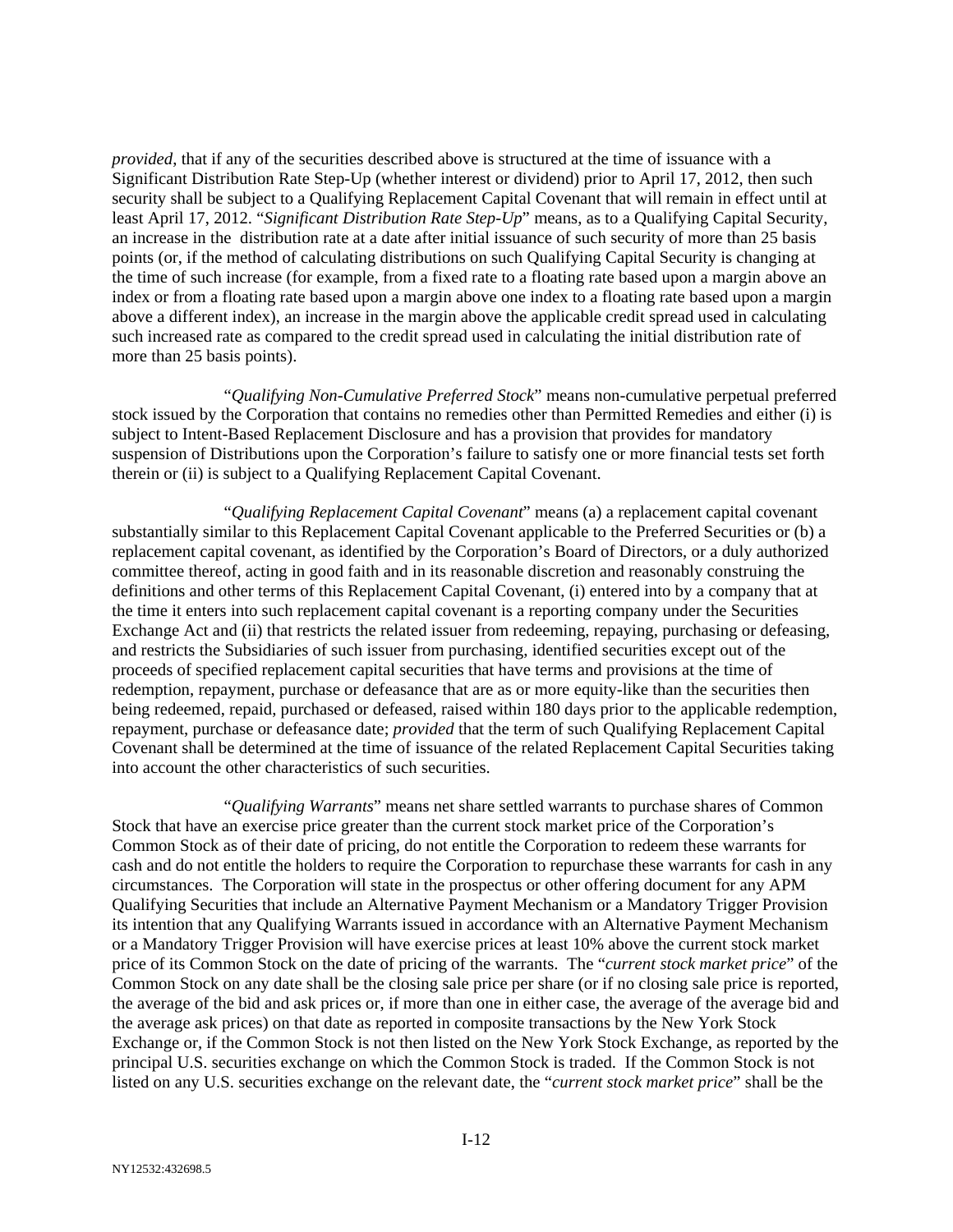*provided*, that if any of the securities described above is structured at the time of issuance with a Significant Distribution Rate Step-Up (whether interest or dividend) prior to April 17, 2012, then such security shall be subject to a Qualifying Replacement Capital Covenant that will remain in effect until at least April 17, 2012. "*Significant Distribution Rate Step-Up*" means, as to a Qualifying Capital Security, an increase in the distribution rate at a date after initial issuance of such security of more than 25 basis points (or, if the method of calculating distributions on such Qualifying Capital Security is changing at the time of such increase (for example, from a fixed rate to a floating rate based upon a margin above an index or from a floating rate based upon a margin above one index to a floating rate based upon a margin above a different index), an increase in the margin above the applicable credit spread used in calculating such increased rate as compared to the credit spread used in calculating the initial distribution rate of more than 25 basis points).

"*Qualifying Non-Cumulative Preferred Stock*" means non-cumulative perpetual preferred stock issued by the Corporation that contains no remedies other than Permitted Remedies and either (i) is subject to Intent-Based Replacement Disclosure and has a provision that provides for mandatory suspension of Distributions upon the Corporation's failure to satisfy one or more financial tests set forth therein or (ii) is subject to a Qualifying Replacement Capital Covenant.

"*Qualifying Replacement Capital Covenant*" means (a) a replacement capital covenant substantially similar to this Replacement Capital Covenant applicable to the Preferred Securities or (b) a replacement capital covenant, as identified by the Corporation's Board of Directors, or a duly authorized committee thereof, acting in good faith and in its reasonable discretion and reasonably construing the definitions and other terms of this Replacement Capital Covenant, (i) entered into by a company that at the time it enters into such replacement capital covenant is a reporting company under the Securities Exchange Act and (ii) that restricts the related issuer from redeeming, repaying, purchasing or defeasing, and restricts the Subsidiaries of such issuer from purchasing, identified securities except out of the proceeds of specified replacement capital securities that have terms and provisions at the time of redemption, repayment, purchase or defeasance that are as or more equity-like than the securities then being redeemed, repaid, purchased or defeased, raised within 180 days prior to the applicable redemption, repayment, purchase or defeasance date; *provided* that the term of such Qualifying Replacement Capital Covenant shall be determined at the time of issuance of the related Replacement Capital Securities taking into account the other characteristics of such securities.

"*Qualifying Warrants*" means net share settled warrants to purchase shares of Common Stock that have an exercise price greater than the current stock market price of the Corporation's Common Stock as of their date of pricing, do not entitle the Corporation to redeem these warrants for cash and do not entitle the holders to require the Corporation to repurchase these warrants for cash in any circumstances. The Corporation will state in the prospectus or other offering document for any APM Qualifying Securities that include an Alternative Payment Mechanism or a Mandatory Trigger Provision its intention that any Qualifying Warrants issued in accordance with an Alternative Payment Mechanism or a Mandatory Trigger Provision will have exercise prices at least 10% above the current stock market price of its Common Stock on the date of pricing of the warrants. The "*current stock market price*" of the Common Stock on any date shall be the closing sale price per share (or if no closing sale price is reported, the average of the bid and ask prices or, if more than one in either case, the average of the average bid and the average ask prices) on that date as reported in composite transactions by the New York Stock Exchange or, if the Common Stock is not then listed on the New York Stock Exchange, as reported by the principal U.S. securities exchange on which the Common Stock is traded. If the Common Stock is not listed on any U.S. securities exchange on the relevant date, the "*current stock market price*" shall be the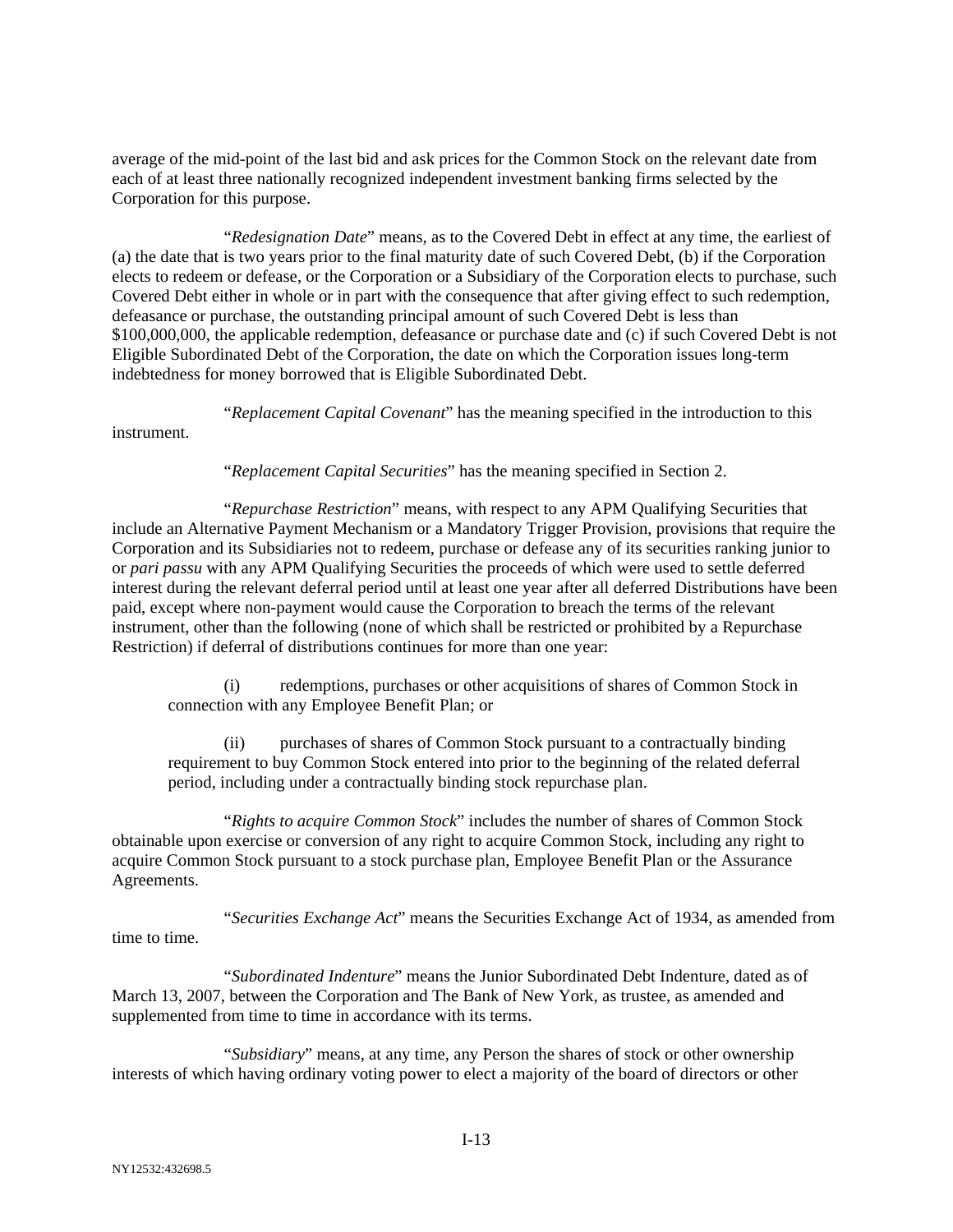average of the mid-point of the last bid and ask prices for the Common Stock on the relevant date from each of at least three nationally recognized independent investment banking firms selected by the Corporation for this purpose.

"*Redesignation Date*" means, as to the Covered Debt in effect at any time, the earliest of (a) the date that is two years prior to the final maturity date of such Covered Debt, (b) if the Corporation elects to redeem or defease, or the Corporation or a Subsidiary of the Corporation elects to purchase, such Covered Debt either in whole or in part with the consequence that after giving effect to such redemption, defeasance or purchase, the outstanding principal amount of such Covered Debt is less than \$100,000,000, the applicable redemption, defeasance or purchase date and (c) if such Covered Debt is not Eligible Subordinated Debt of the Corporation, the date on which the Corporation issues long-term indebtedness for money borrowed that is Eligible Subordinated Debt.

"*Replacement Capital Covenant*" has the meaning specified in the introduction to this

"*Replacement Capital Securities*" has the meaning specified in Section 2.

"*Repurchase Restriction*" means, with respect to any APM Qualifying Securities that include an Alternative Payment Mechanism or a Mandatory Trigger Provision, provisions that require the Corporation and its Subsidiaries not to redeem, purchase or defease any of its securities ranking junior to or *pari passu* with any APM Qualifying Securities the proceeds of which were used to settle deferred interest during the relevant deferral period until at least one year after all deferred Distributions have been paid, except where non-payment would cause the Corporation to breach the terms of the relevant instrument, other than the following (none of which shall be restricted or prohibited by a Repurchase Restriction) if deferral of distributions continues for more than one year:

redemptions, purchases or other acquisitions of shares of Common Stock in connection with any Employee Benefit Plan; or

(ii) purchases of shares of Common Stock pursuant to a contractually binding requirement to buy Common Stock entered into prior to the beginning of the related deferral period, including under a contractually binding stock repurchase plan.

"*Rights to acquire Common Stock*" includes the number of shares of Common Stock obtainable upon exercise or conversion of any right to acquire Common Stock, including any right to acquire Common Stock pursuant to a stock purchase plan, Employee Benefit Plan or the Assurance Agreements.

"*Securities Exchange Act*" means the Securities Exchange Act of 1934, as amended from time to time.

"*Subordinated Indenture*" means the Junior Subordinated Debt Indenture, dated as of March 13, 2007, between the Corporation and The Bank of New York, as trustee, as amended and supplemented from time to time in accordance with its terms.

"*Subsidiary*" means, at any time, any Person the shares of stock or other ownership interests of which having ordinary voting power to elect a majority of the board of directors or other

instrument.